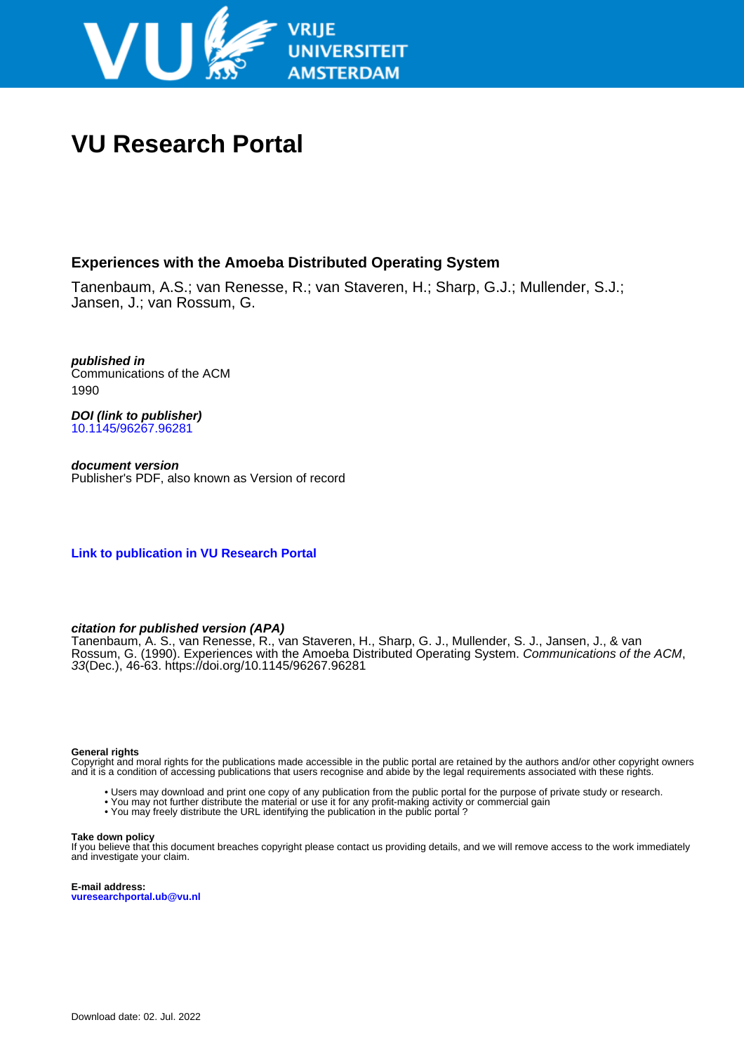

# **VU Research Portal**

## **Experiences with the Amoeba Distributed Operating System**

Tanenbaum, A.S.; van Renesse, R.; van Staveren, H.; Sharp, G.J.; Mullender, S.J.; Jansen, J.; van Rossum, G.

**published in** Communications of the ACM 1990

**DOI (link to publisher)** [10.1145/96267.96281](https://doi.org/10.1145/96267.96281)

**document version** Publisher's PDF, also known as Version of record

**[Link to publication in VU Research Portal](https://research.vu.nl/en/publications/f3311159-8f1c-435d-886a-b80ef64c95c5)**

#### **citation for published version (APA)**

Tanenbaum, A. S., van Renesse, R., van Staveren, H., Sharp, G. J., Mullender, S. J., Jansen, J., & van Rossum, G. (1990). Experiences with the Amoeba Distributed Operating System. Communications of the ACM, 33(Dec.), 46-63.<https://doi.org/10.1145/96267.96281>

#### **General rights**

Copyright and moral rights for the publications made accessible in the public portal are retained by the authors and/or other copyright owners and it is a condition of accessing publications that users recognise and abide by the legal requirements associated with these rights.

- Users may download and print one copy of any publication from the public portal for the purpose of private study or research.
- You may not further distribute the material or use it for any profit-making activity or commercial gain
- You may freely distribute the URL identifying the publication in the public portal ?

#### **Take down policy**

If you believe that this document breaches copyright please contact us providing details, and we will remove access to the work immediately and investigate your claim.

**E-mail address: vuresearchportal.ub@vu.nl**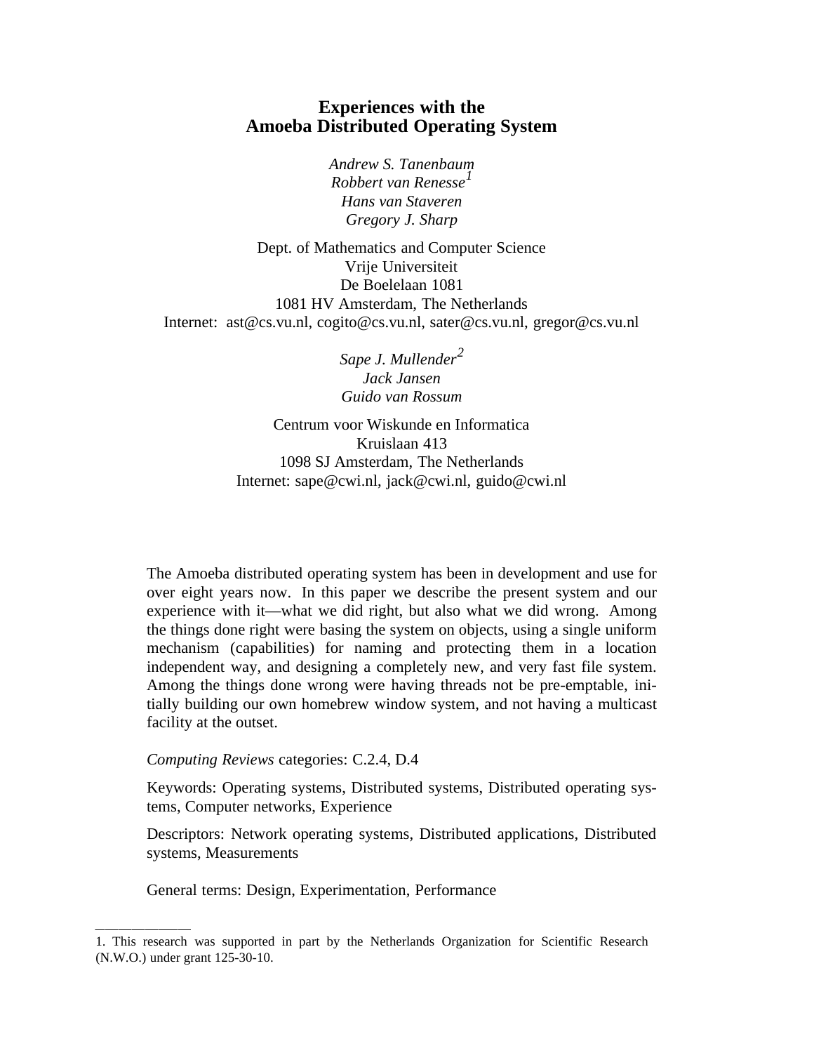## **Experiences with the Amoeba Distributed Operating System**

*Andrew S. Tanenbaum Robbert van Renesse<sup>1</sup> Hans van Staveren Gregory J. Sharp*

Dept. of Mathematics and Computer Science Vrije Universiteit De Boelelaan 1081 1081 HV Amsterdam, The Netherlands Internet: ast@cs.vu.nl, cogito@cs.vu.nl, sater@cs.vu.nl, gregor@cs.vu.nl

> *Sape J. Mullender<sup>2</sup> Jack Jansen Guido van Rossum*

Centrum voor Wiskunde en Informatica Kruislaan 413 1098 SJ Amsterdam, The Netherlands Internet: sape@cwi.nl, jack@cwi.nl, guido@cwi.nl

The Amoeba distributed operating system has been in development and use for over eight years now. In this paper we describe the present system and our experience with it—what we did right, but also what we did wrong. Among the things done right were basing the system on objects, using a single uniform mechanism (capabilities) for naming and protecting them in a location independent way, and designing a completely new, and very fast file system. Among the things done wrong were having threads not be pre-emptable, initially building our own homebrew window system, and not having a multicast facility at the outset.

*Computing Reviews* categories: C.2.4, D.4

Keywords: Operating systems, Distributed systems, Distributed operating systems, Computer networks, Experience

Descriptors: Network operating systems, Distributed applications, Distributed systems, Measurements

General terms: Design, Experimentation, Performance

<sup>1.</sup> This research was supported in part by the Netherlands Organization for Scientific Research (N.W.O.) under grant 125-30-10.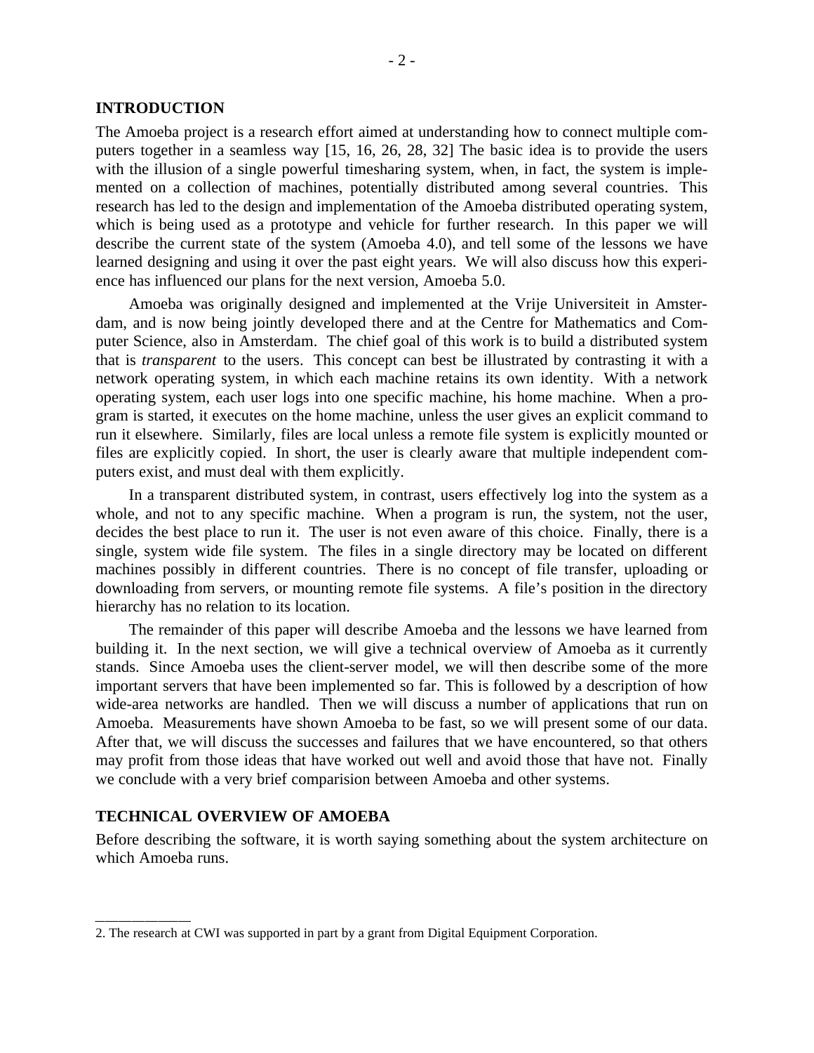## **INTRODUCTION**

The Amoeba project is a research effort aimed at understanding how to connect multiple computers together in a seamless way [15, 16, 26, 28, 32] The basic idea is to provide the users with the illusion of a single powerful timesharing system, when, in fact, the system is implemented on a collection of machines, potentially distributed among several countries. This research has led to the design and implementation of the Amoeba distributed operating system, which is being used as a prototype and vehicle for further research. In this paper we will describe the current state of the system (Amoeba 4.0), and tell some of the lessons we have learned designing and using it over the past eight years. We will also discuss how this experience has influenced our plans for the next version, Amoeba 5.0.

Amoeba was originally designed and implemented at the Vrije Universiteit in Amsterdam, and is now being jointly developed there and at the Centre for Mathematics and Computer Science, also in Amsterdam. The chief goal of this work is to build a distributed system that is *transparent* to the users. This concept can best be illustrated by contrasting it with a network operating system, in which each machine retains its own identity. With a network operating system, each user logs into one specific machine, his home machine. When a program is started, it executes on the home machine, unless the user gives an explicit command to run it elsewhere. Similarly, files are local unless a remote file system is explicitly mounted or files are explicitly copied. In short, the user is clearly aware that multiple independent computers exist, and must deal with them explicitly.

In a transparent distributed system, in contrast, users effectively log into the system as a whole, and not to any specific machine. When a program is run, the system, not the user, decides the best place to run it. The user is not even aware of this choice. Finally, there is a single, system wide file system. The files in a single directory may be located on different machines possibly in different countries. There is no concept of file transfer, uploading or downloading from servers, or mounting remote file systems. A file's position in the directory hierarchy has no relation to its location.

The remainder of this paper will describe Amoeba and the lessons we have learned from building it. In the next section, we will give a technical overview of Amoeba as it currently stands. Since Amoeba uses the client-server model, we will then describe some of the more important servers that have been implemented so far. This is followed by a description of how wide-area networks are handled. Then we will discuss a number of applications that run on Amoeba. Measurements have shown Amoeba to be fast, so we will present some of our data. After that, we will discuss the successes and failures that we have encountered, so that others may profit from those ideas that have worked out well and avoid those that have not. Finally we conclude with a very brief comparision between Amoeba and other systems.

## **TECHNICAL OVERVIEW OF AMOEBA**

Before describing the software, it is worth saying something about the system architecture on which Amoeba runs.

<sup>2.</sup> The research at CWI was supported in part by a grant from Digital Equipment Corporation.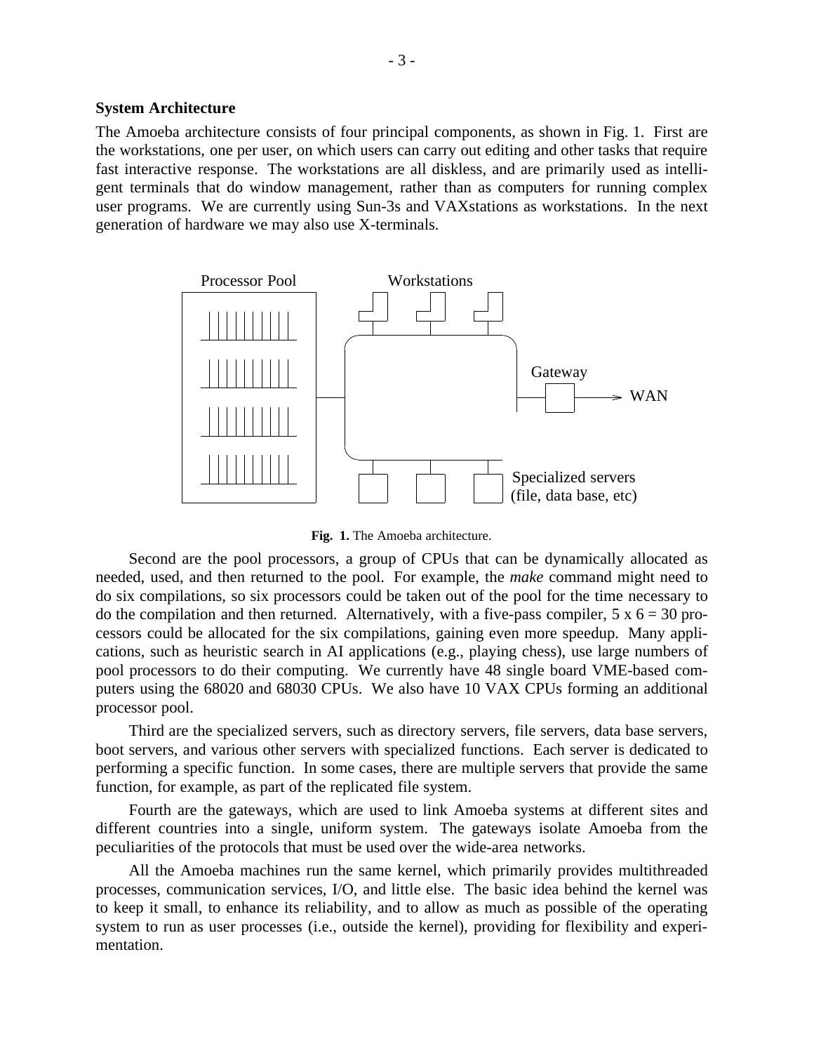## **System Architecture**

The Amoeba architecture consists of four principal components, as shown in Fig. 1. First are the workstations, one per user, on which users can carry out editing and other tasks that require fast interactive response. The workstations are all diskless, and are primarily used as intelligent terminals that do window management, rather than as computers for running complex user programs. We are currently using Sun-3s and VAXstations as workstations. In the next generation of hardware we may also use X-terminals.



**Fig. 1.** The Amoeba architecture.

Second are the pool processors, a group of CPUs that can be dynamically allocated as needed, used, and then returned to the pool. For example, the *make* command might need to do six compilations, so six processors could be taken out of the pool for the time necessary to do the compilation and then returned. Alternatively, with a five-pass compiler,  $5 \times 6 = 30$  processors could be allocated for the six compilations, gaining even more speedup. Many applications, such as heuristic search in AI applications (e.g., playing chess), use large numbers of pool processors to do their computing. We currently have 48 single board VME-based computers using the 68020 and 68030 CPUs. We also have 10 VAX CPUs forming an additional processor pool.

Third are the specialized servers, such as directory servers, file servers, data base servers, boot servers, and various other servers with specialized functions. Each server is dedicated to performing a specific function. In some cases, there are multiple servers that provide the same function, for example, as part of the replicated file system.

Fourth are the gateways, which are used to link Amoeba systems at different sites and different countries into a single, uniform system. The gateways isolate Amoeba from the peculiarities of the protocols that must be used over the wide-area networks.

All the Amoeba machines run the same kernel, which primarily provides multithreaded processes, communication services, I/O, and little else. The basic idea behind the kernel was to keep it small, to enhance its reliability, and to allow as much as possible of the operating system to run as user processes (i.e., outside the kernel), providing for flexibility and experimentation.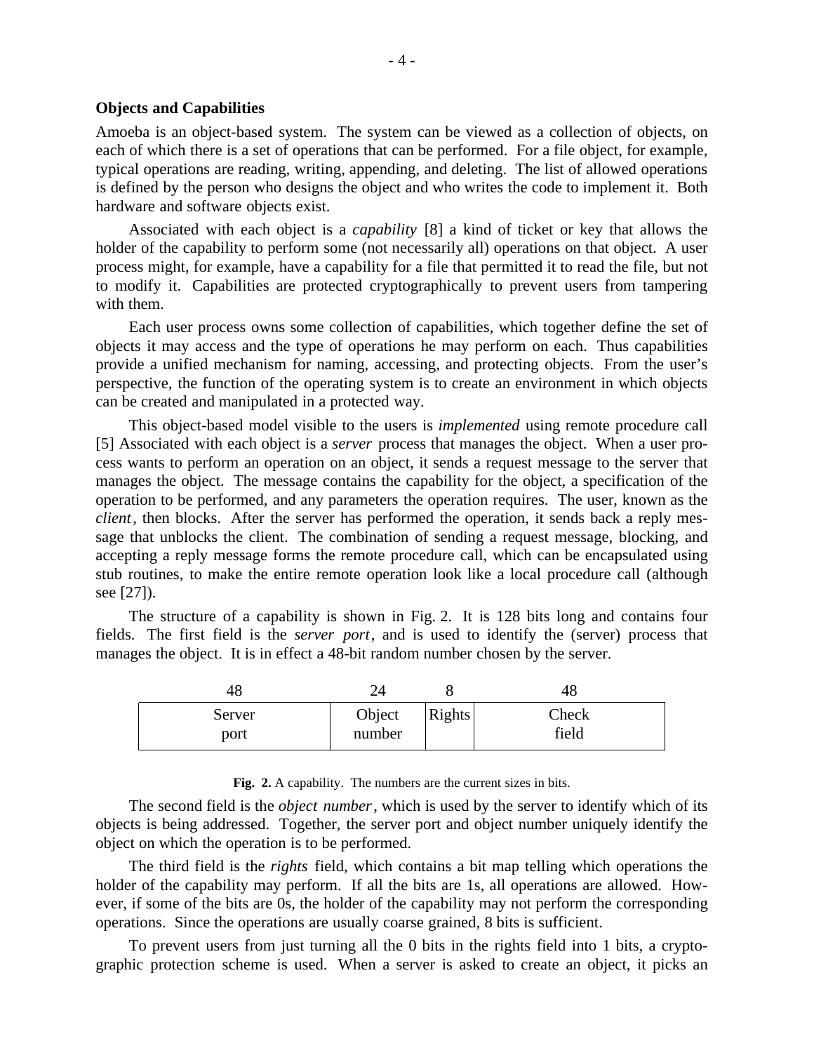## **Objects and Capabilities**

Amoeba is an object-based system. The system can be viewed as a collection of objects, on each of which there is a set of operations that can be performed. For a file object, for example, typical operations are reading, writing, appending, and deleting. The list of allowed operations is defined by the person who designs the object and who writes the code to implement it. Both hardware and software objects exist.

Associated with each object is a *capability* [8] a kind of ticket or key that allows the holder of the capability to perform some (not necessarily all) operations on that object. A user process might, for example, have a capability for a file that permitted it to read the file, but not to modify it. Capabilities are protected cryptographically to prevent users from tampering with them.

Each user process owns some collection of capabilities, which together define the set of objects it may access and the type of operations he may perform on each. Thus capabilities provide a unified mechanism for naming, accessing, and protecting objects. From the user's perspective, the function of the operating system is to create an environment in which objects can be created and manipulated in a protected way.

This object-based model visible to the users is *implemented* using remote procedure call [5] Associated with each object is a *server* process that manages the object. When a user process wants to perform an operation on an object, it sends a request message to the server that manages the object. The message contains the capability for the object, a specification of the operation to be performed, and any parameters the operation requires. The user, known as the *client*, then blocks. After the server has performed the operation, it sends back a reply message that unblocks the client. The combination of sending a request message, blocking, and accepting a reply message forms the remote procedure call, which can be encapsulated using stub routines, to make the entire remote operation look like a local procedure call (although see [27]).

The structure of a capability is shown in Fig. 2. It is 128 bits long and contains four fields. The first field is the *server port*, and is used to identify the (server) process that manages the object. It is in effect a 48-bit random number chosen by the server.

| 40     |        |        | 48    |
|--------|--------|--------|-------|
| Server | Object | Rights | Check |
| port   | number |        | field |

**Fig. 2.** A capability. The numbers are the current sizes in bits.

The second field is the *object number*, which is used by the server to identify which of its objects is being addressed. Together, the server port and object number uniquely identify the object on which the operation is to be performed.

The third field is the *rights* field, which contains a bit map telling which operations the holder of the capability may perform. If all the bits are 1s, all operations are allowed. However, if some of the bits are 0s, the holder of the capability may not perform the corresponding operations. Since the operations are usually coarse grained, 8 bits is sufficient.

To prevent users from just turning all the 0 bits in the rights field into 1 bits, a cryptographic protection scheme is used. When a server is asked to create an object, it picks an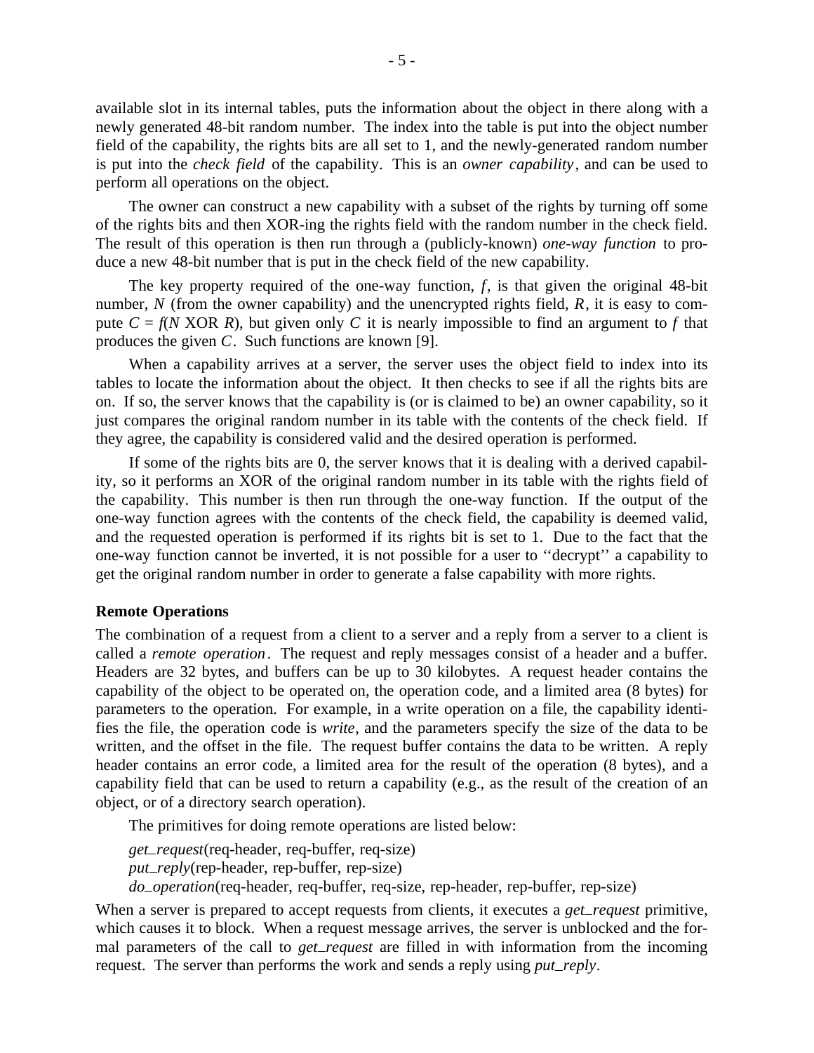available slot in its internal tables, puts the information about the object in there along with a newly generated 48-bit random number. The index into the table is put into the object number field of the capability, the rights bits are all set to 1, and the newly-generated random number is put into the *check field* of the capability. This is an *owner capability*, and can be used to perform all operations on the object.

The owner can construct a new capability with a subset of the rights by turning off some of the rights bits and then XOR-ing the rights field with the random number in the check field. The result of this operation is then run through a (publicly-known) *one-way function* to produce a new 48-bit number that is put in the check field of the new capability.

The key property required of the one-way function, *f*, is that given the original 48-bit number, N (from the owner capability) and the unencrypted rights field, R, it is easy to compute  $C = f(N \text{ XOR } R)$ , but given only C it is nearly impossible to find an argument to f that produces the given *C*. Such functions are known [9].

When a capability arrives at a server, the server uses the object field to index into its tables to locate the information about the object. It then checks to see if all the rights bits are on. If so, the server knows that the capability is (or is claimed to be) an owner capability, so it just compares the original random number in its table with the contents of the check field. If they agree, the capability is considered valid and the desired operation is performed.

If some of the rights bits are 0, the server knows that it is dealing with a derived capability, so it performs an XOR of the original random number in its table with the rights field of the capability. This number is then run through the one-way function. If the output of the one-way function agrees with the contents of the check field, the capability is deemed valid, and the requested operation is performed if its rights bit is set to 1. Due to the fact that the one-way function cannot be inverted, it is not possible for a user to ''decrypt'' a capability to get the original random number in order to generate a false capability with more rights.

## **Remote Operations**

The combination of a request from a client to a server and a reply from a server to a client is called a *remote operation*. The request and reply messages consist of a header and a buffer. Headers are 32 bytes, and buffers can be up to 30 kilobytes. A request header contains the capability of the object to be operated on, the operation code, and a limited area (8 bytes) for parameters to the operation. For example, in a write operation on a file, the capability identifies the file, the operation code is *write*, and the parameters specify the size of the data to be written, and the offset in the file. The request buffer contains the data to be written. A reply header contains an error code, a limited area for the result of the operation (8 bytes), and a capability field that can be used to return a capability (e.g., as the result of the creation of an object, or of a directory search operation).

The primitives for doing remote operations are listed below:

*getrequest*(req-header, req-buffer, req-size) *putreply*(rep-header, rep-buffer, rep-size) *dooperation*(req-header, req-buffer, req-size, rep-header, rep-buffer, rep-size)

When a server is prepared to accept requests from clients, it executes a *get\_request* primitive, which causes it to block. When a request message arrives, the server is unblocked and the formal parameters of the call to *getrequest* are filled in with information from the incoming request. The server than performs the work and sends a reply using *put\_reply*.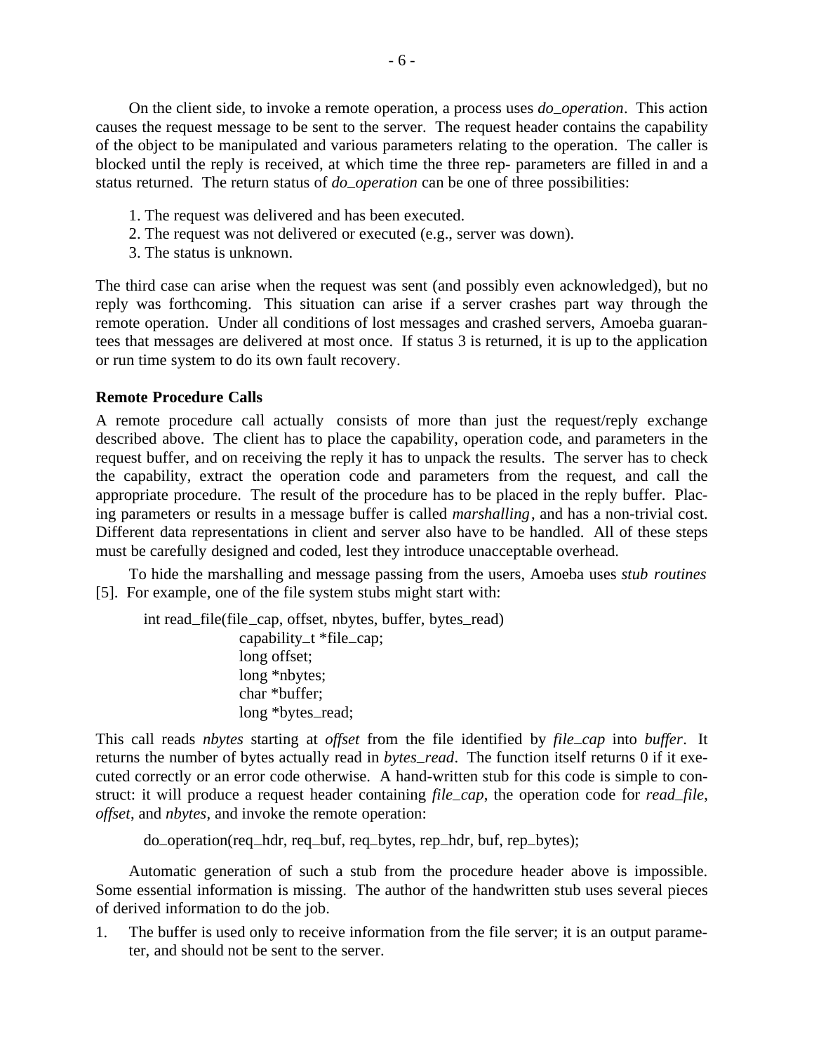On the client side, to invoke a remote operation, a process uses *dooperation*. This action causes the request message to be sent to the server. The request header contains the capability of the object to be manipulated and various parameters relating to the operation. The caller is blocked until the reply is received, at which time the three rep- parameters are filled in and a status returned. The return status of *do\_operation* can be one of three possibilities:

- 1. The request was delivered and has been executed.
- 2. The request was not delivered or executed (e.g., server was down).
- 3. The status is unknown.

The third case can arise when the request was sent (and possibly even acknowledged), but no reply was forthcoming. This situation can arise if a server crashes part way through the remote operation. Under all conditions of lost messages and crashed servers, Amoeba guarantees that messages are delivered at most once. If status 3 is returned, it is up to the application or run time system to do its own fault recovery.

## **Remote Procedure Calls**

A remote procedure call actually consists of more than just the request/reply exchange described above. The client has to place the capability, operation code, and parameters in the request buffer, and on receiving the reply it has to unpack the results. The server has to check the capability, extract the operation code and parameters from the request, and call the appropriate procedure. The result of the procedure has to be placed in the reply buffer. Placing parameters or results in a message buffer is called *marshalling*, and has a non-trivial cost. Different data representations in client and server also have to be handled. All of these steps must be carefully designed and coded, lest they introduce unacceptable overhead.

To hide the marshalling and message passing from the users, Amoeba uses *stub routines* [5]. For example, one of the file system stubs might start with:

int read\_file(file\_cap, offset, nbytes, buffer, bytes\_read) capability $_t$  \*file $\text{cap};$ long offset; long \*nbytes; char \*buffer; long \*bytes\_read;

This call reads *nbytes* starting at *offset* from the file identified by *filecap* into *buffer*. It returns the number of bytes actually read in *bytesread*. The function itself returns 0 if it executed correctly or an error code otherwise. A hand-written stub for this code is simple to construct: it will produce a request header containing *filecap*, the operation code for *readfile*, *offset*, and *nbytes*, and invoke the remote operation:

do\_operation(req\_hdr, req\_buf, req\_bytes, rep\_hdr, buf, rep\_bytes);

Automatic generation of such a stub from the procedure header above is impossible. Some essential information is missing. The author of the handwritten stub uses several pieces of derived information to do the job.

1. The buffer is used only to receive information from the file server; it is an output parameter, and should not be sent to the server.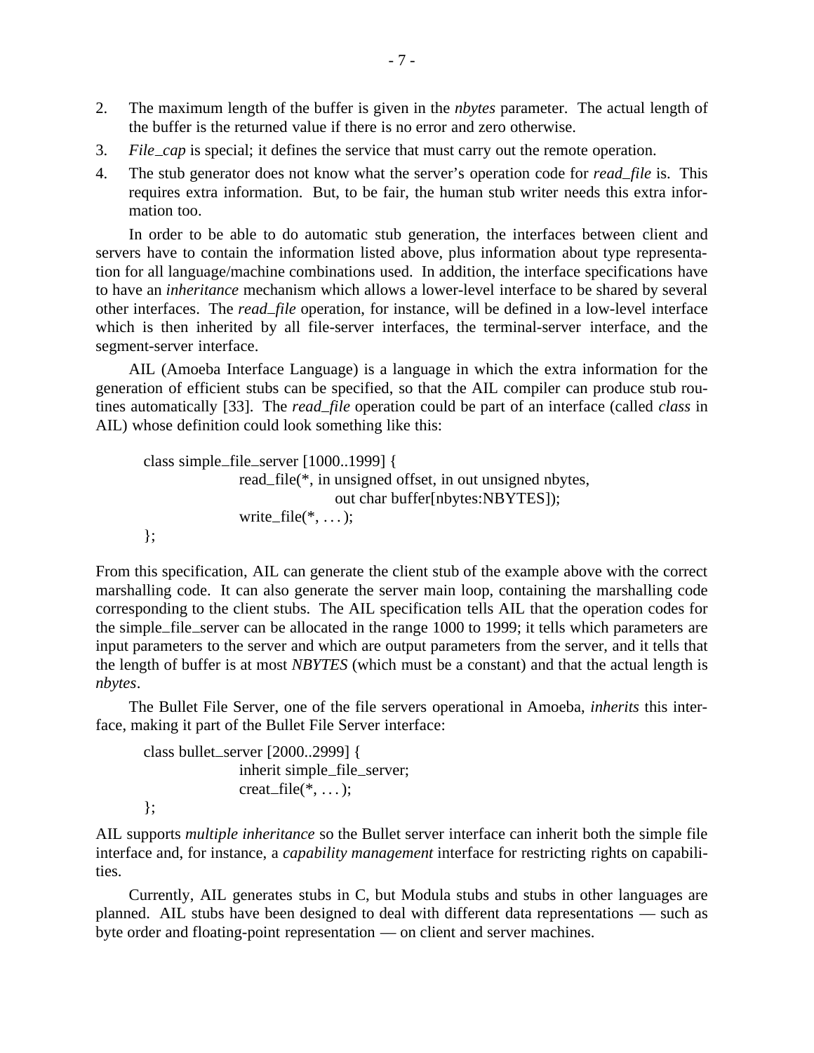- 2. The maximum length of the buffer is given in the *nbytes* parameter. The actual length of the buffer is the returned value if there is no error and zero otherwise.
- 3. *Filecap* is special; it defines the service that must carry out the remote operation.
- 4. The stub generator does not know what the server's operation code for *readfile* is. This requires extra information. But, to be fair, the human stub writer needs this extra information too.

In order to be able to do automatic stub generation, the interfaces between client and servers have to contain the information listed above, plus information about type representation for all language/machine combinations used. In addition, the interface specifications have to have an *inheritance* mechanism which allows a lower-level interface to be shared by several other interfaces. The *readfile* operation, for instance, will be defined in a low-level interface which is then inherited by all file-server interfaces, the terminal-server interface, and the segment-server interface.

AIL (Amoeba Interface Language) is a language in which the extra information for the generation of efficient stubs can be specified, so that the AIL compiler can produce stub routines automatically [33]. The *readfile* operation could be part of an interface (called *class* in AIL) whose definition could look something like this:

```
class simple_file_server [1000..1999] {
               read file(*, in unsigned offset, in out unsigned nbytes,out char buffer[nbytes:NBYTES]);
               write_file(*, \ldots);
};
```
From this specification, AIL can generate the client stub of the example above with the correct marshalling code. It can also generate the server main loop, containing the marshalling code corresponding to the client stubs. The AIL specification tells AIL that the operation codes for the simple file server can be allocated in the range 1000 to 1999; it tells which parameters are input parameters to the server and which are output parameters from the server, and it tells that the length of buffer is at most *NBYTES* (which must be a constant) and that the actual length is *nbytes*.

The Bullet File Server, one of the file servers operational in Amoeba, *inherits* this interface, making it part of the Bullet File Server interface:

class bullet\_server [2000..2999] { inherit simple\_file\_server; creat\_file( $*, \ldots$ );

};

AIL supports *multiple inheritance* so the Bullet server interface can inherit both the simple file interface and, for instance, a *capability management* interface for restricting rights on capabilities.

Currently, AIL generates stubs in C, but Modula stubs and stubs in other languages are planned. AIL stubs have been designed to deal with different data representations — such as byte order and floating-point representation — on client and server machines.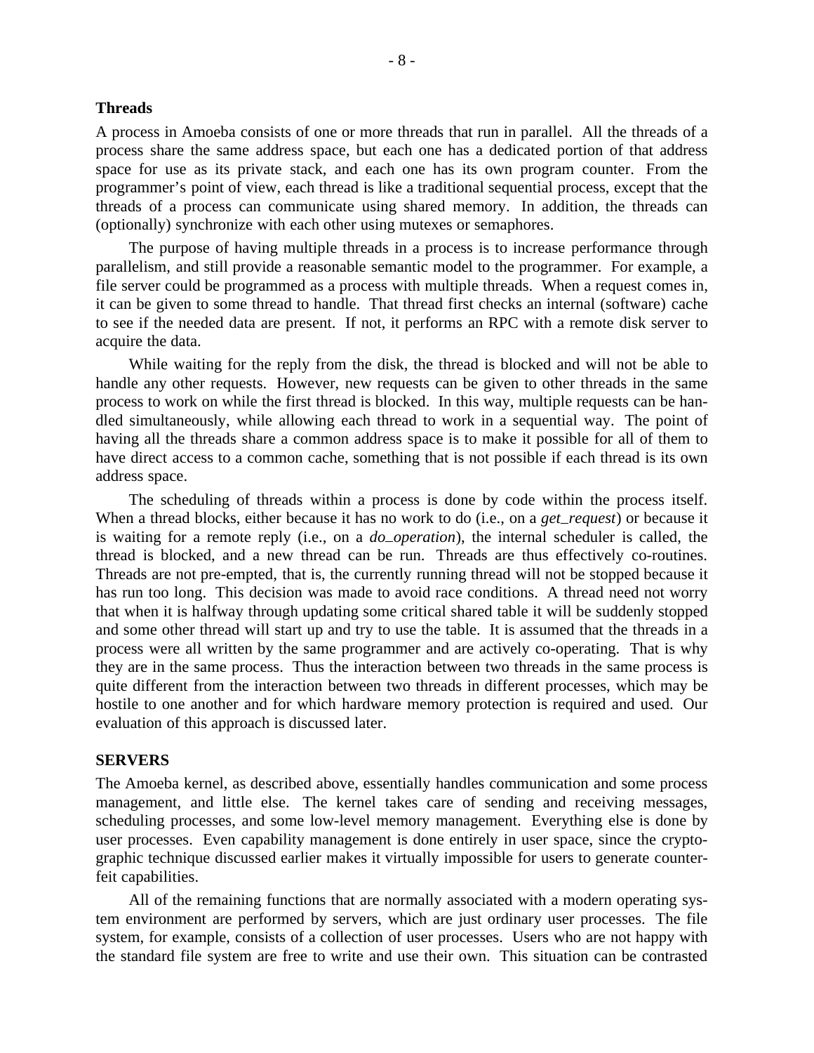## **Threads**

A process in Amoeba consists of one or more threads that run in parallel. All the threads of a process share the same address space, but each one has a dedicated portion of that address space for use as its private stack, and each one has its own program counter. From the programmer's point of view, each thread is like a traditional sequential process, except that the threads of a process can communicate using shared memory. In addition, the threads can (optionally) synchronize with each other using mutexes or semaphores.

The purpose of having multiple threads in a process is to increase performance through parallelism, and still provide a reasonable semantic model to the programmer. For example, a file server could be programmed as a process with multiple threads. When a request comes in, it can be given to some thread to handle. That thread first checks an internal (software) cache to see if the needed data are present. If not, it performs an RPC with a remote disk server to acquire the data.

While waiting for the reply from the disk, the thread is blocked and will not be able to handle any other requests. However, new requests can be given to other threads in the same process to work on while the first thread is blocked. In this way, multiple requests can be handled simultaneously, while allowing each thread to work in a sequential way. The point of having all the threads share a common address space is to make it possible for all of them to have direct access to a common cache, something that is not possible if each thread is its own address space.

The scheduling of threads within a process is done by code within the process itself. When a thread blocks, either because it has no work to do (i.e., on a *get\_request*) or because it is waiting for a remote reply (i.e., on a *dooperation*), the internal scheduler is called, the thread is blocked, and a new thread can be run. Threads are thus effectively co-routines. Threads are not pre-empted, that is, the currently running thread will not be stopped because it has run too long. This decision was made to avoid race conditions. A thread need not worry that when it is halfway through updating some critical shared table it will be suddenly stopped and some other thread will start up and try to use the table. It is assumed that the threads in a process were all written by the same programmer and are actively co-operating. That is why they are in the same process. Thus the interaction between two threads in the same process is quite different from the interaction between two threads in different processes, which may be hostile to one another and for which hardware memory protection is required and used. Our evaluation of this approach is discussed later.

## **SERVERS**

The Amoeba kernel, as described above, essentially handles communication and some process management, and little else. The kernel takes care of sending and receiving messages, scheduling processes, and some low-level memory management. Everything else is done by user processes. Even capability management is done entirely in user space, since the cryptographic technique discussed earlier makes it virtually impossible for users to generate counterfeit capabilities.

All of the remaining functions that are normally associated with a modern operating system environment are performed by servers, which are just ordinary user processes. The file system, for example, consists of a collection of user processes. Users who are not happy with the standard file system are free to write and use their own. This situation can be contrasted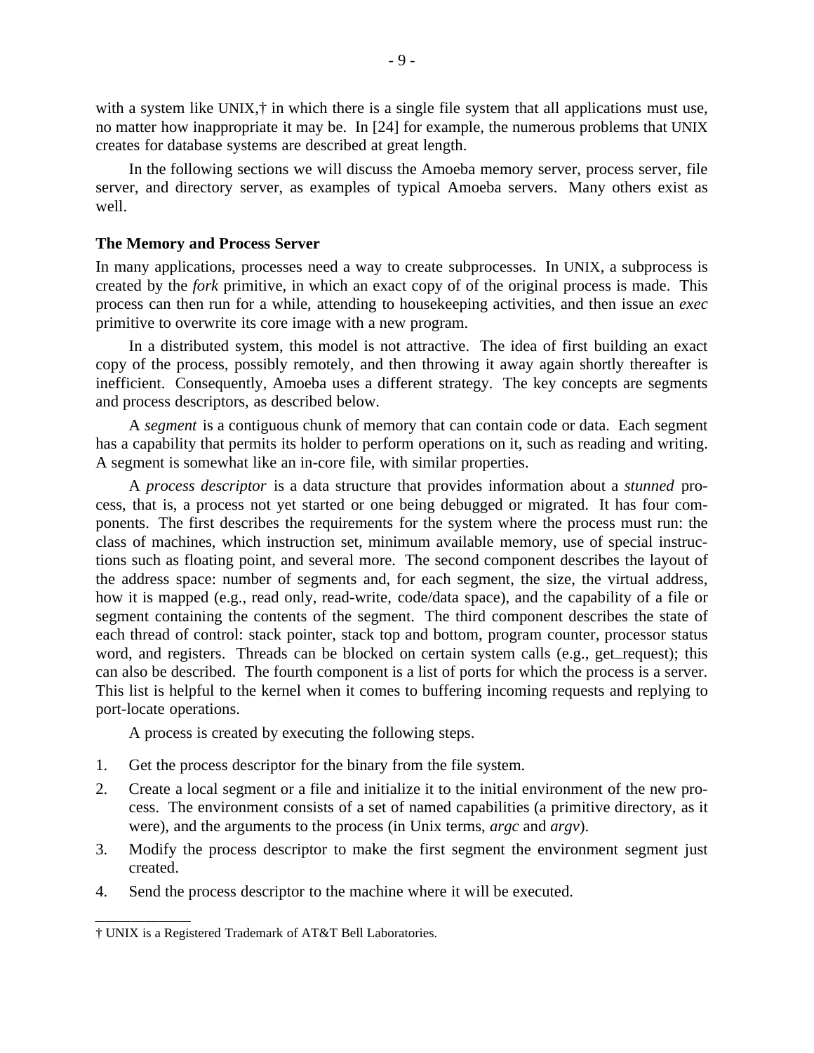with a system like UNIX,<sup>†</sup> in which there is a single file system that all applications must use, no matter how inappropriate it may be. In [24] for example, the numerous problems that UNIX creates for database systems are described at great length.

In the following sections we will discuss the Amoeba memory server, process server, file server, and directory server, as examples of typical Amoeba servers. Many others exist as well.

## **The Memory and Process Server**

In many applications, processes need a way to create subprocesses. In UNIX, a subprocess is created by the *fork* primitive, in which an exact copy of of the original process is made. This process can then run for a while, attending to housekeeping activities, and then issue an *exec* primitive to overwrite its core image with a new program.

In a distributed system, this model is not attractive. The idea of first building an exact copy of the process, possibly remotely, and then throwing it away again shortly thereafter is inefficient. Consequently, Amoeba uses a different strategy. The key concepts are segments and process descriptors, as described below.

A *segment* is a contiguous chunk of memory that can contain code or data. Each segment has a capability that permits its holder to perform operations on it, such as reading and writing. A segment is somewhat like an in-core file, with similar properties.

A *process descriptor* is a data structure that provides information about a *stunned* process, that is, a process not yet started or one being debugged or migrated. It has four components. The first describes the requirements for the system where the process must run: the class of machines, which instruction set, minimum available memory, use of special instructions such as floating point, and several more. The second component describes the layout of the address space: number of segments and, for each segment, the size, the virtual address, how it is mapped (e.g., read only, read-write, code/data space), and the capability of a file or segment containing the contents of the segment. The third component describes the state of each thread of control: stack pointer, stack top and bottom, program counter, processor status word, and registers. Threads can be blocked on certain system calls (e.g., get\_request); this can also be described. The fourth component is a list of ports for which the process is a server. This list is helpful to the kernel when it comes to buffering incoming requests and replying to port-locate operations.

A process is created by executing the following steps.

- 1. Get the process descriptor for the binary from the file system.
- 2. Create a local segment or a file and initialize it to the initial environment of the new process. The environment consists of a set of named capabilities (a primitive directory, as it were), and the arguments to the process (in Unix terms, *argc* and *argv*).
- 3. Modify the process descriptor to make the first segment the environment segment just created.
- 4. Send the process descriptor to the machine where it will be executed.

<sup>†</sup> UNIX is a Registered Trademark of AT&T Bell Laboratories.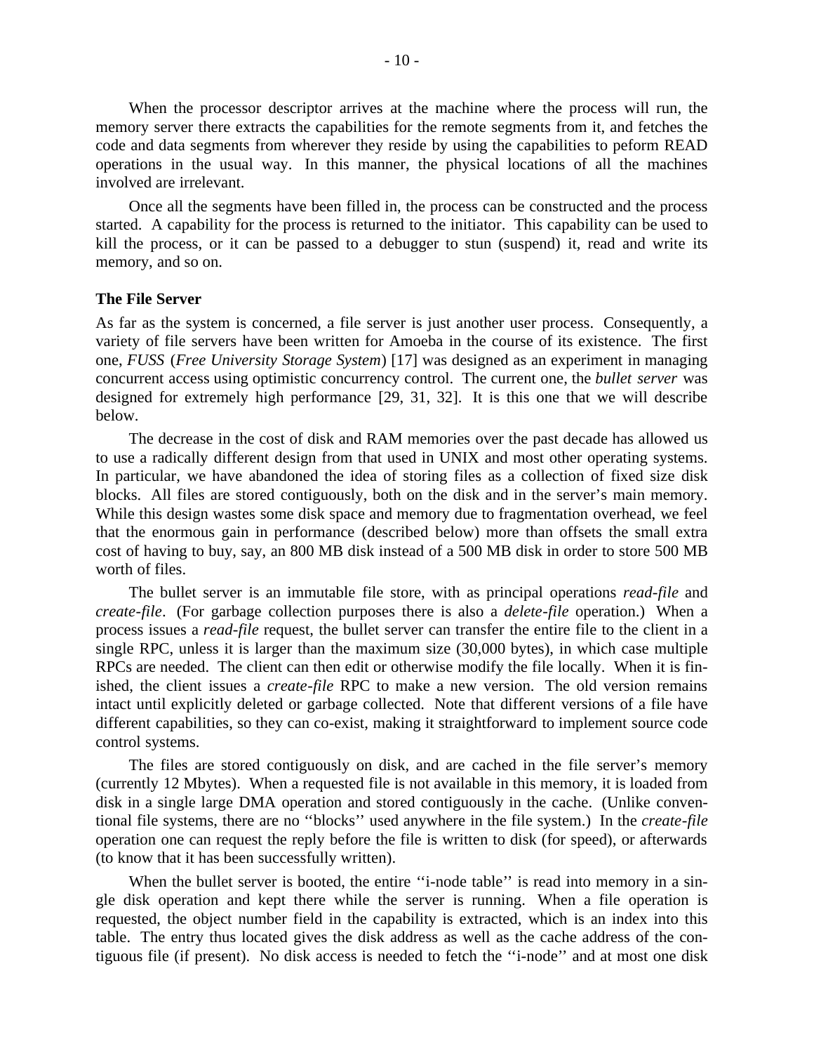When the processor descriptor arrives at the machine where the process will run, the memory server there extracts the capabilities for the remote segments from it, and fetches the code and data segments from wherever they reside by using the capabilities to peform READ operations in the usual way. In this manner, the physical locations of all the machines involved are irrelevant.

Once all the segments have been filled in, the process can be constructed and the process started. A capability for the process is returned to the initiator. This capability can be used to kill the process, or it can be passed to a debugger to stun (suspend) it, read and write its memory, and so on.

## **The File Server**

As far as the system is concerned, a file server is just another user process. Consequently, a variety of file servers have been written for Amoeba in the course of its existence. The first one, *FUSS* (*Free University Storage System*) [17] was designed as an experiment in managing concurrent access using optimistic concurrency control. The current one, the *bullet server* was designed for extremely high performance [29, 31, 32]. It is this one that we will describe below.

The decrease in the cost of disk and RAM memories over the past decade has allowed us to use a radically different design from that used in UNIX and most other operating systems. In particular, we have abandoned the idea of storing files as a collection of fixed size disk blocks. All files are stored contiguously, both on the disk and in the server's main memory. While this design wastes some disk space and memory due to fragmentation overhead, we feel that the enormous gain in performance (described below) more than offsets the small extra cost of having to buy, say, an 800 MB disk instead of a 500 MB disk in order to store 500 MB worth of files.

The bullet server is an immutable file store, with as principal operations *read*-*file* and *create*-*file*. (For garbage collection purposes there is also a *delete*-*file* operation.) When a process issues a *read*-*file* request, the bullet server can transfer the entire file to the client in a single RPC, unless it is larger than the maximum size (30,000 bytes), in which case multiple RPCs are needed. The client can then edit or otherwise modify the file locally. When it is finished, the client issues a *create*-*file* RPC to make a new version. The old version remains intact until explicitly deleted or garbage collected. Note that different versions of a file have different capabilities, so they can co-exist, making it straightforward to implement source code control systems.

The files are stored contiguously on disk, and are cached in the file server's memory (currently 12 Mbytes). When a requested file is not available in this memory, it is loaded from disk in a single large DMA operation and stored contiguously in the cache. (Unlike conventional file systems, there are no ''blocks'' used anywhere in the file system.) In the *create*-*file* operation one can request the reply before the file is written to disk (for speed), or afterwards (to know that it has been successfully written).

When the bullet server is booted, the entire "i-node table" is read into memory in a single disk operation and kept there while the server is running. When a file operation is requested, the object number field in the capability is extracted, which is an index into this table. The entry thus located gives the disk address as well as the cache address of the contiguous file (if present). No disk access is needed to fetch the ''i-node'' and at most one disk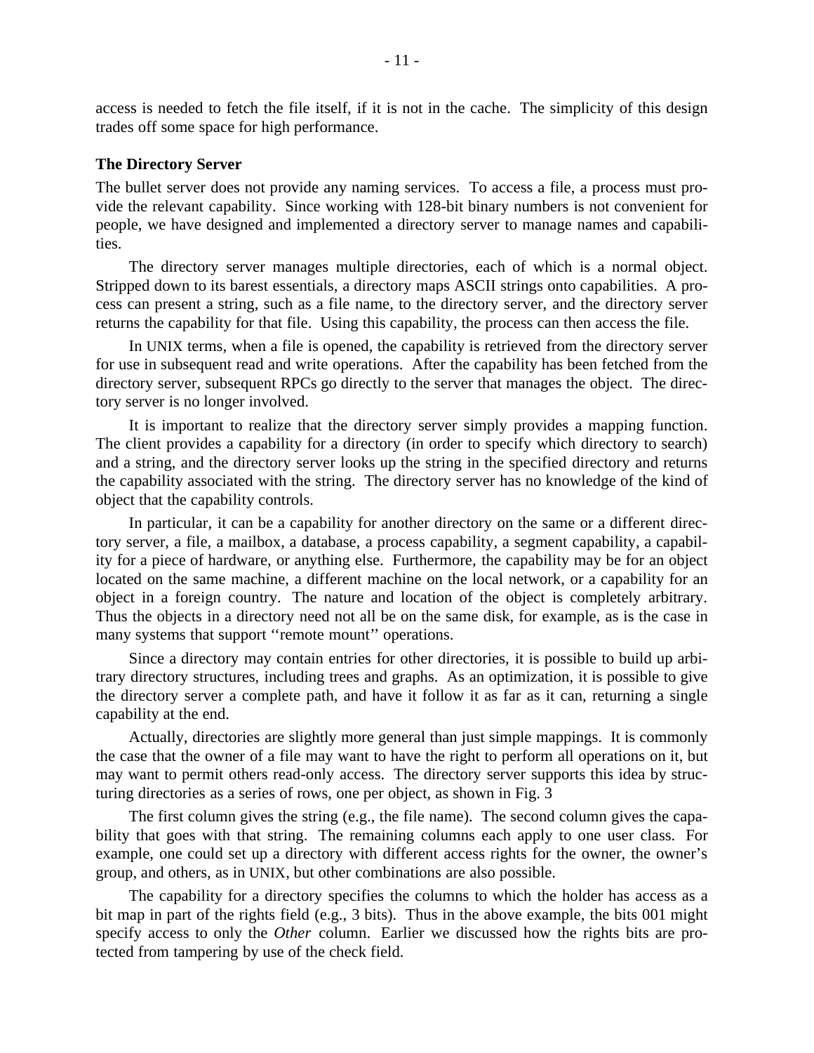access is needed to fetch the file itself, if it is not in the cache. The simplicity of this design trades off some space for high performance.

## **The Directory Server**

The bullet server does not provide any naming services. To access a file, a process must provide the relevant capability. Since working with 128-bit binary numbers is not convenient for people, we have designed and implemented a directory server to manage names and capabilities.

The directory server manages multiple directories, each of which is a normal object. Stripped down to its barest essentials, a directory maps ASCII strings onto capabilities. A process can present a string, such as a file name, to the directory server, and the directory server returns the capability for that file. Using this capability, the process can then access the file.

In UNIX terms, when a file is opened, the capability is retrieved from the directory server for use in subsequent read and write operations. After the capability has been fetched from the directory server, subsequent RPCs go directly to the server that manages the object. The directory server is no longer involved.

It is important to realize that the directory server simply provides a mapping function. The client provides a capability for a directory (in order to specify which directory to search) and a string, and the directory server looks up the string in the specified directory and returns the capability associated with the string. The directory server has no knowledge of the kind of object that the capability controls.

In particular, it can be a capability for another directory on the same or a different directory server, a file, a mailbox, a database, a process capability, a segment capability, a capability for a piece of hardware, or anything else. Furthermore, the capability may be for an object located on the same machine, a different machine on the local network, or a capability for an object in a foreign country. The nature and location of the object is completely arbitrary. Thus the objects in a directory need not all be on the same disk, for example, as is the case in many systems that support ''remote mount'' operations.

Since a directory may contain entries for other directories, it is possible to build up arbitrary directory structures, including trees and graphs. As an optimization, it is possible to give the directory server a complete path, and have it follow it as far as it can, returning a single capability at the end.

Actually, directories are slightly more general than just simple mappings. It is commonly the case that the owner of a file may want to have the right to perform all operations on it, but may want to permit others read-only access. The directory server supports this idea by structuring directories as a series of rows, one per object, as shown in Fig. 3

The first column gives the string (e.g., the file name). The second column gives the capability that goes with that string. The remaining columns each apply to one user class. For example, one could set up a directory with different access rights for the owner, the owner's group, and others, as in UNIX, but other combinations are also possible.

The capability for a directory specifies the columns to which the holder has access as a bit map in part of the rights field (e.g., 3 bits). Thus in the above example, the bits 001 might specify access to only the *Other* column. Earlier we discussed how the rights bits are protected from tampering by use of the check field.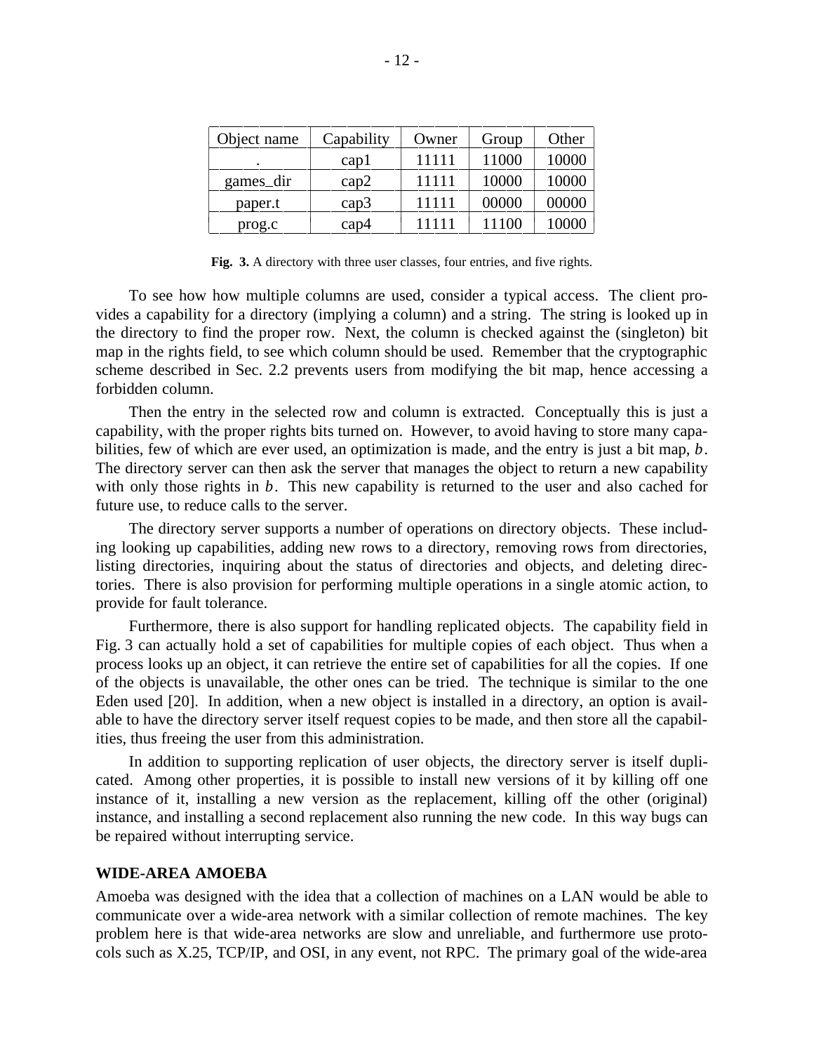| Object name | Capability | Owner | Group | Other |
|-------------|------------|-------|-------|-------|
| $\bullet$   | capl       | 11111 | 11000 | 10000 |
| games_dir   | cap2       | 11111 | 10000 | 10000 |
| paper.t     | cap3       | 11111 | 00000 | 00000 |
| prog.c      | cap4       |       | 11100 | 10000 |

**Fig. 3.** A directory with three user classes, four entries, and five rights.

To see how how multiple columns are used, consider a typical access. The client provides a capability for a directory (implying a column) and a string. The string is looked up in the directory to find the proper row. Next, the column is checked against the (singleton) bit map in the rights field, to see which column should be used. Remember that the cryptographic scheme described in Sec. 2.2 prevents users from modifying the bit map, hence accessing a forbidden column.

Then the entry in the selected row and column is extracted. Conceptually this is just a capability, with the proper rights bits turned on. However, to avoid having to store many capabilities, few of which are ever used, an optimization is made, and the entry is just a bit map, *b*. The directory server can then ask the server that manages the object to return a new capability with only those rights in *b*. This new capability is returned to the user and also cached for future use, to reduce calls to the server.

The directory server supports a number of operations on directory objects. These including looking up capabilities, adding new rows to a directory, removing rows from directories, listing directories, inquiring about the status of directories and objects, and deleting directories. There is also provision for performing multiple operations in a single atomic action, to provide for fault tolerance.

Furthermore, there is also support for handling replicated objects. The capability field in Fig. 3 can actually hold a set of capabilities for multiple copies of each object. Thus when a process looks up an object, it can retrieve the entire set of capabilities for all the copies. If one of the objects is unavailable, the other ones can be tried. The technique is similar to the one Eden used [20]. In addition, when a new object is installed in a directory, an option is available to have the directory server itself request copies to be made, and then store all the capabilities, thus freeing the user from this administration.

In addition to supporting replication of user objects, the directory server is itself duplicated. Among other properties, it is possible to install new versions of it by killing off one instance of it, installing a new version as the replacement, killing off the other (original) instance, and installing a second replacement also running the new code. In this way bugs can be repaired without interrupting service.

## **WIDE-AREA AMOEBA**

Amoeba was designed with the idea that a collection of machines on a LAN would be able to communicate over a wide-area network with a similar collection of remote machines. The key problem here is that wide-area networks are slow and unreliable, and furthermore use protocols such as X.25, TCP/IP, and OSI, in any event, not RPC. The primary goal of the wide-area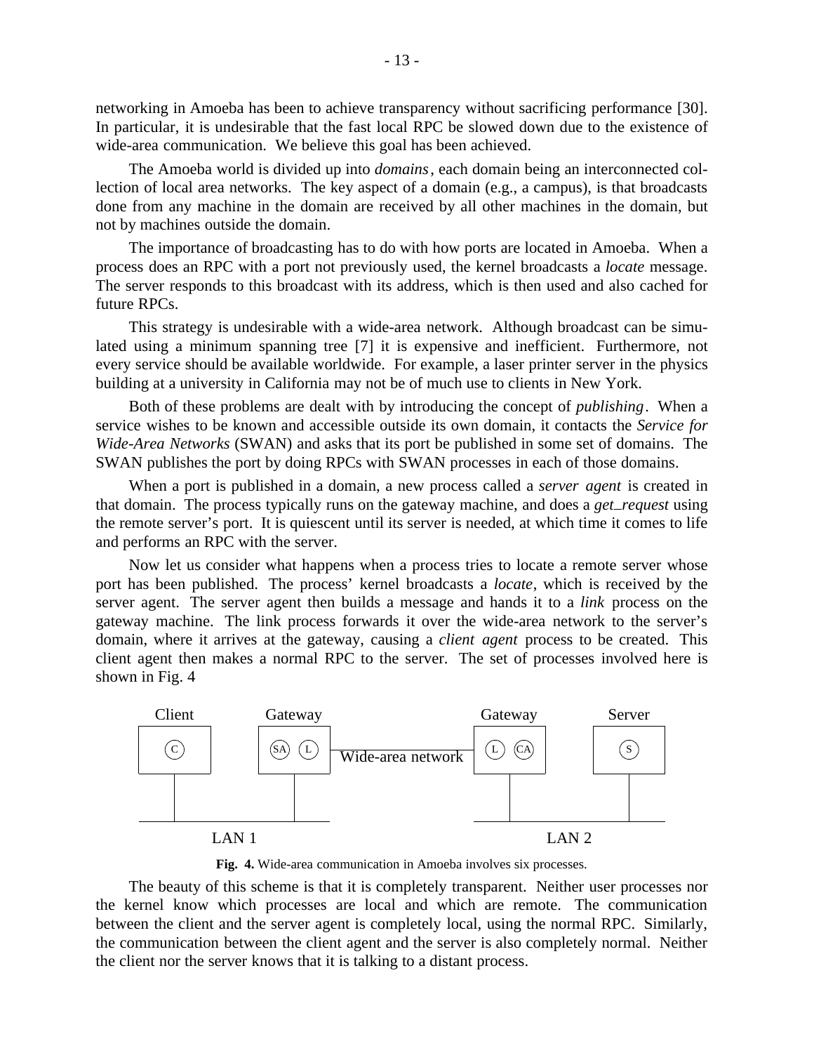networking in Amoeba has been to achieve transparency without sacrificing performance [30]. In particular, it is undesirable that the fast local RPC be slowed down due to the existence of wide-area communication. We believe this goal has been achieved.

The Amoeba world is divided up into *domains*, each domain being an interconnected collection of local area networks. The key aspect of a domain (e.g., a campus), is that broadcasts done from any machine in the domain are received by all other machines in the domain, but not by machines outside the domain.

The importance of broadcasting has to do with how ports are located in Amoeba. When a process does an RPC with a port not previously used, the kernel broadcasts a *locate* message. The server responds to this broadcast with its address, which is then used and also cached for future RPCs.

This strategy is undesirable with a wide-area network. Although broadcast can be simulated using a minimum spanning tree [7] it is expensive and inefficient. Furthermore, not every service should be available worldwide. For example, a laser printer server in the physics building at a university in California may not be of much use to clients in New York.

Both of these problems are dealt with by introducing the concept of *publishing*. When a service wishes to be known and accessible outside its own domain, it contacts the *Service for Wide-Area Networks* (SWAN) and asks that its port be published in some set of domains. The SWAN publishes the port by doing RPCs with SWAN processes in each of those domains.

When a port is published in a domain, a new process called a *server agent* is created in that domain. The process typically runs on the gateway machine, and does a *getrequest* using the remote server's port. It is quiescent until its server is needed, at which time it comes to life and performs an RPC with the server.

Now let us consider what happens when a process tries to locate a remote server whose port has been published. The process' kernel broadcasts a *locate*, which is received by the server agent. The server agent then builds a message and hands it to a *link* process on the gateway machine. The link process forwards it over the wide-area network to the server's domain, where it arrives at the gateway, causing a *client agent* process to be created. This client agent then makes a normal RPC to the server. The set of processes involved here is shown in Fig. 4



**Fig. 4.** Wide-area communication in Amoeba involves six processes.

The beauty of this scheme is that it is completely transparent. Neither user processes nor the kernel know which processes are local and which are remote. The communication between the client and the server agent is completely local, using the normal RPC. Similarly, the communication between the client agent and the server is also completely normal. Neither the client nor the server knows that it is talking to a distant process.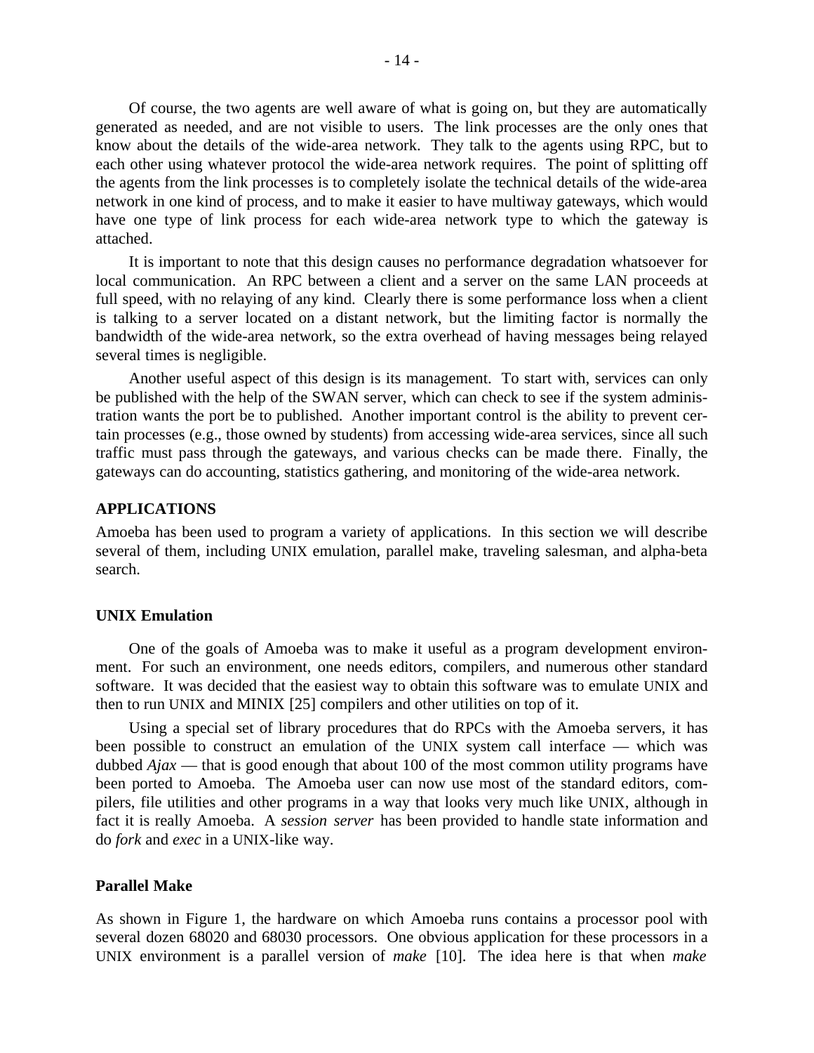Of course, the two agents are well aware of what is going on, but they are automatically generated as needed, and are not visible to users. The link processes are the only ones that know about the details of the wide-area network. They talk to the agents using RPC, but to each other using whatever protocol the wide-area network requires. The point of splitting off the agents from the link processes is to completely isolate the technical details of the wide-area network in one kind of process, and to make it easier to have multiway gateways, which would have one type of link process for each wide-area network type to which the gateway is attached.

It is important to note that this design causes no performance degradation whatsoever for local communication. An RPC between a client and a server on the same LAN proceeds at full speed, with no relaying of any kind. Clearly there is some performance loss when a client is talking to a server located on a distant network, but the limiting factor is normally the bandwidth of the wide-area network, so the extra overhead of having messages being relayed several times is negligible.

Another useful aspect of this design is its management. To start with, services can only be published with the help of the SWAN server, which can check to see if the system administration wants the port be to published. Another important control is the ability to prevent certain processes (e.g., those owned by students) from accessing wide-area services, since all such traffic must pass through the gateways, and various checks can be made there. Finally, the gateways can do accounting, statistics gathering, and monitoring of the wide-area network.

## **APPLICATIONS**

Amoeba has been used to program a variety of applications. In this section we will describe several of them, including UNIX emulation, parallel make, traveling salesman, and alpha-beta search.

#### **UNIX Emulation**

One of the goals of Amoeba was to make it useful as a program development environment. For such an environment, one needs editors, compilers, and numerous other standard software. It was decided that the easiest way to obtain this software was to emulate UNIX and then to run UNIX and MINIX [25] compilers and other utilities on top of it.

Using a special set of library procedures that do RPCs with the Amoeba servers, it has been possible to construct an emulation of the UNIX system call interface — which was dubbed *Ajax* — that is good enough that about 100 of the most common utility programs have been ported to Amoeba. The Amoeba user can now use most of the standard editors, compilers, file utilities and other programs in a way that looks very much like UNIX, although in fact it is really Amoeba. A *session server* has been provided to handle state information and do *fork* and *exec* in a UNIX-like way.

## **Parallel Make**

As shown in Figure 1, the hardware on which Amoeba runs contains a processor pool with several dozen 68020 and 68030 processors. One obvious application for these processors in a UNIX environment is a parallel version of *make* [10]. The idea here is that when *make*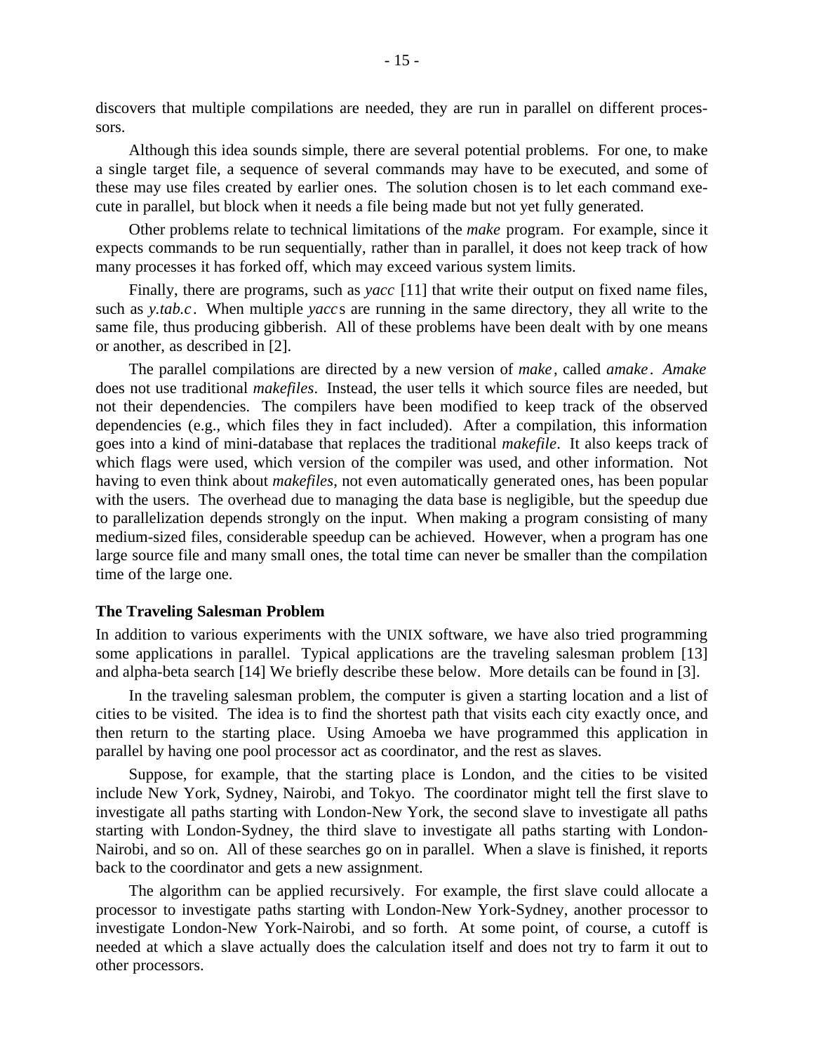discovers that multiple compilations are needed, they are run in parallel on different processors.

Although this idea sounds simple, there are several potential problems. For one, to make a single target file, a sequence of several commands may have to be executed, and some of these may use files created by earlier ones. The solution chosen is to let each command execute in parallel, but block when it needs a file being made but not yet fully generated.

Other problems relate to technical limitations of the *make* program. For example, since it expects commands to be run sequentially, rather than in parallel, it does not keep track of how many processes it has forked off, which may exceed various system limits.

Finally, there are programs, such as *yacc* [11] that write their output on fixed name files, such as *y.tab.c*. When multiple *yacc*s are running in the same directory, they all write to the same file, thus producing gibberish. All of these problems have been dealt with by one means or another, as described in [2].

The parallel compilations are directed by a new version of *make*, called *amake*. *Amake* does not use traditional *makefiles*. Instead, the user tells it which source files are needed, but not their dependencies. The compilers have been modified to keep track of the observed dependencies (e.g., which files they in fact included). After a compilation, this information goes into a kind of mini-database that replaces the traditional *makefile*. It also keeps track of which flags were used, which version of the compiler was used, and other information. Not having to even think about *makefiles*, not even automatically generated ones, has been popular with the users. The overhead due to managing the data base is negligible, but the speedup due to parallelization depends strongly on the input. When making a program consisting of many medium-sized files, considerable speedup can be achieved. However, when a program has one large source file and many small ones, the total time can never be smaller than the compilation time of the large one.

#### **The Traveling Salesman Problem**

In addition to various experiments with the UNIX software, we have also tried programming some applications in parallel. Typical applications are the traveling salesman problem [13] and alpha-beta search [14] We briefly describe these below. More details can be found in [3].

In the traveling salesman problem, the computer is given a starting location and a list of cities to be visited. The idea is to find the shortest path that visits each city exactly once, and then return to the starting place. Using Amoeba we have programmed this application in parallel by having one pool processor act as coordinator, and the rest as slaves.

Suppose, for example, that the starting place is London, and the cities to be visited include New York, Sydney, Nairobi, and Tokyo. The coordinator might tell the first slave to investigate all paths starting with London-New York, the second slave to investigate all paths starting with London-Sydney, the third slave to investigate all paths starting with London-Nairobi, and so on. All of these searches go on in parallel. When a slave is finished, it reports back to the coordinator and gets a new assignment.

The algorithm can be applied recursively. For example, the first slave could allocate a processor to investigate paths starting with London-New York-Sydney, another processor to investigate London-New York-Nairobi, and so forth. At some point, of course, a cutoff is needed at which a slave actually does the calculation itself and does not try to farm it out to other processors.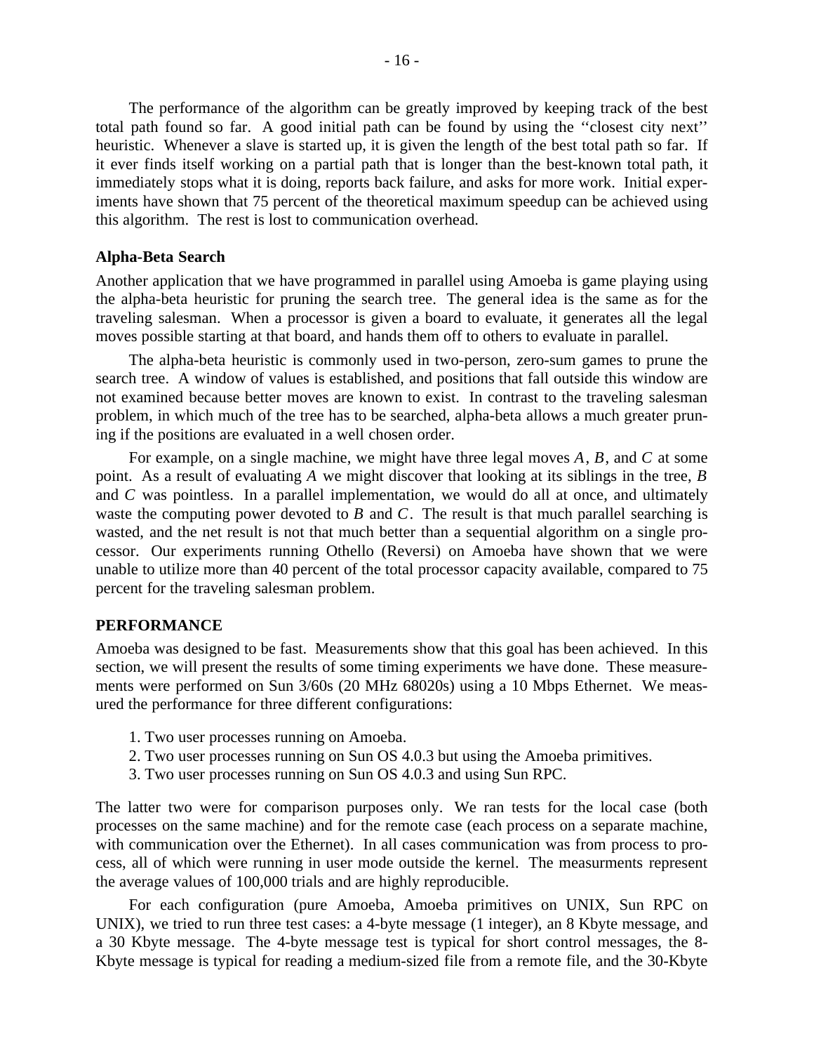The performance of the algorithm can be greatly improved by keeping track of the best total path found so far. A good initial path can be found by using the ''closest city next'' heuristic. Whenever a slave is started up, it is given the length of the best total path so far. If it ever finds itself working on a partial path that is longer than the best-known total path, it immediately stops what it is doing, reports back failure, and asks for more work. Initial experiments have shown that 75 percent of the theoretical maximum speedup can be achieved using this algorithm. The rest is lost to communication overhead.

## **Alpha-Beta Search**

Another application that we have programmed in parallel using Amoeba is game playing using the alpha-beta heuristic for pruning the search tree. The general idea is the same as for the traveling salesman. When a processor is given a board to evaluate, it generates all the legal moves possible starting at that board, and hands them off to others to evaluate in parallel.

The alpha-beta heuristic is commonly used in two-person, zero-sum games to prune the search tree. A window of values is established, and positions that fall outside this window are not examined because better moves are known to exist. In contrast to the traveling salesman problem, in which much of the tree has to be searched, alpha-beta allows a much greater pruning if the positions are evaluated in a well chosen order.

For example, on a single machine, we might have three legal moves *A*, *B*, and *C* at some point. As a result of evaluating *A* we might discover that looking at its siblings in the tree, *B* and *C* was pointless. In a parallel implementation, we would do all at once, and ultimately waste the computing power devoted to *B* and *C*. The result is that much parallel searching is wasted, and the net result is not that much better than a sequential algorithm on a single processor. Our experiments running Othello (Reversi) on Amoeba have shown that we were unable to utilize more than 40 percent of the total processor capacity available, compared to 75 percent for the traveling salesman problem.

#### **PERFORMANCE**

Amoeba was designed to be fast. Measurements show that this goal has been achieved. In this section, we will present the results of some timing experiments we have done. These measurements were performed on Sun 3/60s (20 MHz 68020s) using a 10 Mbps Ethernet. We measured the performance for three different configurations:

- 1. Two user processes running on Amoeba.
- 2. Two user processes running on Sun OS 4.0.3 but using the Amoeba primitives.
- 3. Two user processes running on Sun OS 4.0.3 and using Sun RPC.

The latter two were for comparison purposes only. We ran tests for the local case (both processes on the same machine) and for the remote case (each process on a separate machine, with communication over the Ethernet). In all cases communication was from process to process, all of which were running in user mode outside the kernel. The measurments represent the average values of 100,000 trials and are highly reproducible.

For each configuration (pure Amoeba, Amoeba primitives on UNIX, Sun RPC on UNIX), we tried to run three test cases: a 4-byte message (1 integer), an 8 Kbyte message, and a 30 Kbyte message. The 4-byte message test is typical for short control messages, the 8- Kbyte message is typical for reading a medium-sized file from a remote file, and the 30-Kbyte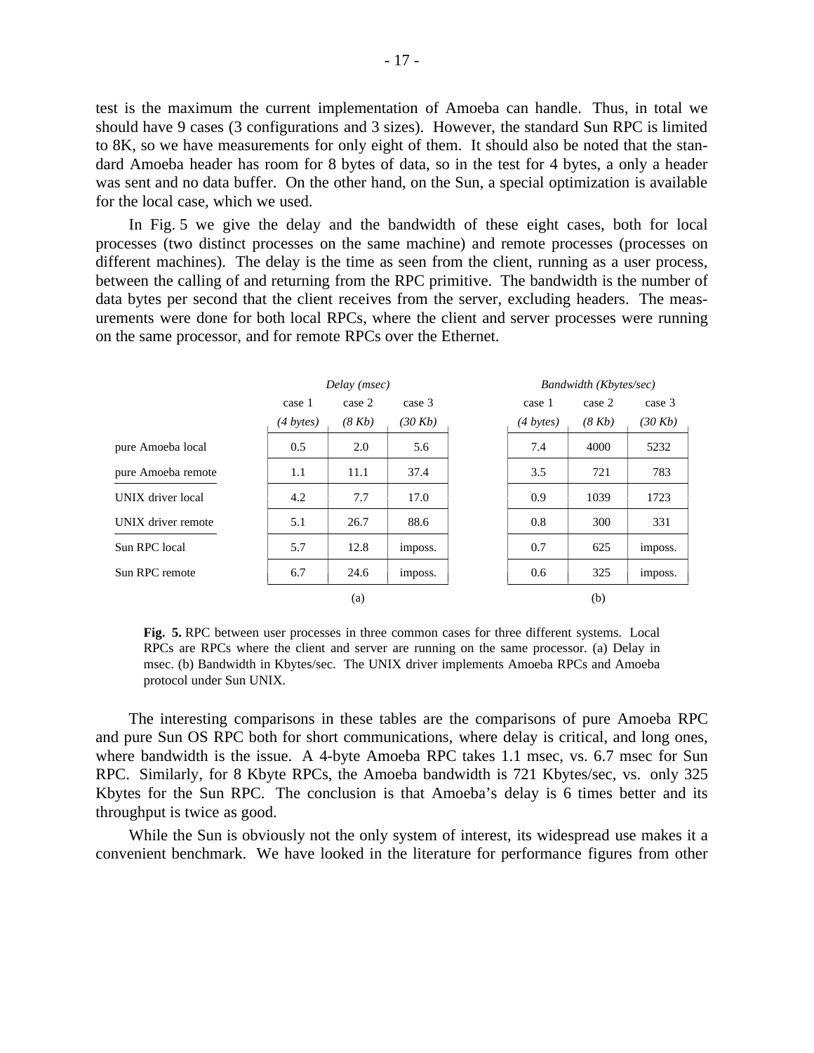test is the maximum the current implementation of Amoeba can handle. Thus, in total we should have 9 cases (3 configurations and 3 sizes). However, the standard Sun RPC is limited to 8K, so we have measurements for only eight of them. It should also be noted that the standard Amoeba header has room for 8 bytes of data, so in the test for 4 bytes, a only a header was sent and no data buffer. On the other hand, on the Sun, a special optimization is available for the local case, which we used.

In Fig. 5 we give the delay and the bandwidth of these eight cases, both for local processes (two distinct processes on the same machine) and remote processes (processes on different machines). The delay is the time as seen from the client, running as a user process, between the calling of and returning from the RPC primitive. The bandwidth is the number of data bytes per second that the client receives from the server, excluding headers. The measurements were done for both local RPCs, where the client and server processes were running on the same processor, and for remote RPCs over the Ethernet.

|                    |           | Delay (msec) |           |  | Bandwidth (Kbytes/sec) |        |           |
|--------------------|-----------|--------------|-----------|--|------------------------|--------|-----------|
|                    | case 1    | case 2       | case 3    |  | case 1                 | case 2 | case 3    |
|                    | (4 bytes) | (8 Kb)       | $(30$ Kb) |  | (4 bytes)              | (8 Kb) | $(30$ Kb) |
| pure Amoeba local  | 0.5       | 2.0          | 5.6       |  | 7.4                    | 4000   | 5232      |
| pure Amoeba remote | 1.1       | 11.1         | 37.4      |  | 3.5                    | 721    | 783       |
| UNIX driver local  | 4.2       | 7.7          | 17.0      |  | 0.9                    | 1039   | 1723      |
| UNIX driver remote | 5.1       | 26.7         | 88.6      |  | 0.8                    | 300    | 331       |
| Sun RPC local      | 5.7       | 12.8         | imposs.   |  | 0.7                    | 625    | imposs.   |
| Sun RPC remote     | 6.7       | 24.6         | imposs.   |  | 0.6                    | 325    | imposs.   |
|                    |           | (a)          |           |  |                        | (b)    |           |

**Fig. 5.** RPC between user processes in three common cases for three different systems. Local RPCs are RPCs where the client and server are running on the same processor. (a) Delay in msec. (b) Bandwidth in Kbytes/sec. The UNIX driver implements Amoeba RPCs and Amoeba protocol under Sun UNIX.

The interesting comparisons in these tables are the comparisons of pure Amoeba RPC and pure Sun OS RPC both for short communications, where delay is critical, and long ones, where bandwidth is the issue. A 4-byte Amoeba RPC takes 1.1 msec, vs. 6.7 msec for Sun RPC. Similarly, for 8 Kbyte RPCs, the Amoeba bandwidth is 721 Kbytes/sec, vs. only 325 Kbytes for the Sun RPC. The conclusion is that Amoeba's delay is 6 times better and its throughput is twice as good.

While the Sun is obviously not the only system of interest, its widespread use makes it a convenient benchmark. We have looked in the literature for performance figures from other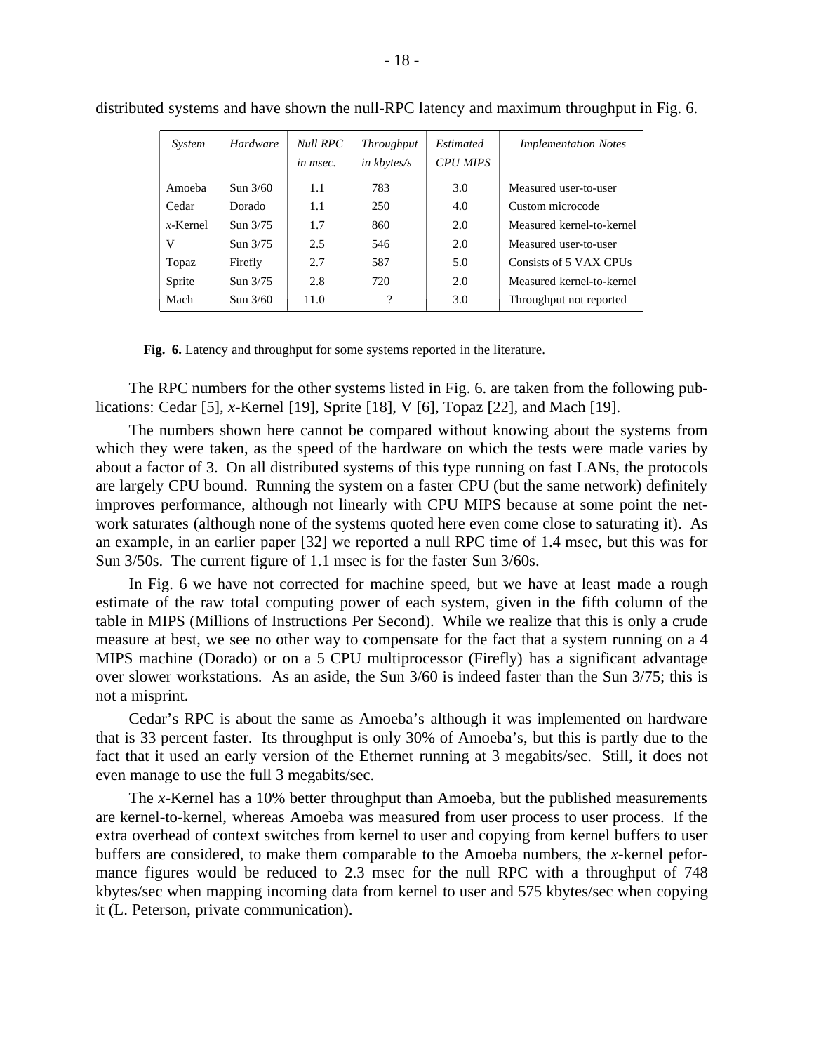|        |                   |                      |                           |                              | $\alpha$ by secting and they shown the name is $\alpha$ having y and maximum unbagneted in Fig. 6. |
|--------|-------------------|----------------------|---------------------------|------------------------------|----------------------------------------------------------------------------------------------------|
| System | Hardware          | Null RPC<br>in msec. | Throughput<br>in kbytes/s | Estimated<br><b>CPU MIPS</b> | <b>Implementation Notes</b>                                                                        |
| Amoeba | $Sun\frac{3}{60}$ |                      | 783                       | 3.0                          | Measured user-to-user                                                                              |
| Cedar  | Dorado            |                      | 250                       | 4.0                          | Custom microcode                                                                                   |

*x*-Kernel | Sun 3/75 | 1.7 | 860 | 2.0 | Measured kernel-to-kernel V  $\vert$  Sun 3/75 2.5 546 2.0 Measured user-to-user Topaz Firefly 2.7 587 5.0 Consists of 5 VAX CPUs Sprite | Sun 3/75 | 2.8 | 720 | 2.0 | Measured kernel-to-kernel

Mach Sun 3/60 11.0 ? 3.0 Throughput not reported

distributed systems and have shown the null-RPC latency and maximum throughput in Fig. 6.

**Fig. 6.** Latency and throughput for some systems reported in the literature.

Mach

Sun 3/60 Sun 3/75 Firefly Sun 3/75 Sun 3/75

Topaz  $\overline{\mathbf{V}}$  $x$ -Kernel Cedar Amoeba

The RPC numbers for the other systems listed in Fig. 6. are taken from the following publications: Cedar [5], *x*-Kernel [19], Sprite [18], V [6], Topaz [22], and Mach [19].

The numbers shown here cannot be compared without knowing about the systems from which they were taken, as the speed of the hardware on which the tests were made varies by about a factor of 3. On all distributed systems of this type running on fast LANs, the protocols are largely CPU bound. Running the system on a faster CPU (but the same network) definitely improves performance, although not linearly with CPU MIPS because at some point the network saturates (although none of the systems quoted here even come close to saturating it). As an example, in an earlier paper [32] we reported a null RPC time of 1.4 msec, but this was for Sun 3/50s. The current figure of 1.1 msec is for the faster Sun 3/60s.

In Fig. 6 we have not corrected for machine speed, but we have at least made a rough estimate of the raw total computing power of each system, given in the fifth column of the table in MIPS (Millions of Instructions Per Second). While we realize that this is only a crude measure at best, we see no other way to compensate for the fact that a system running on a 4 MIPS machine (Dorado) or on a 5 CPU multiprocessor (Firefly) has a significant advantage over slower workstations. As an aside, the Sun 3/60 is indeed faster than the Sun 3/75; this is not a misprint.

Cedar's RPC is about the same as Amoeba's although it was implemented on hardware that is 33 percent faster. Its throughput is only 30% of Amoeba's, but this is partly due to the fact that it used an early version of the Ethernet running at 3 megabits/sec. Still, it does not even manage to use the full 3 megabits/sec.

The *x*-Kernel has a 10% better throughput than Amoeba, but the published measurements are kernel-to-kernel, whereas Amoeba was measured from user process to user process. If the extra overhead of context switches from kernel to user and copying from kernel buffers to user buffers are considered, to make them comparable to the Amoeba numbers, the *x*-kernel peformance figures would be reduced to 2.3 msec for the null RPC with a throughput of 748 kbytes/sec when mapping incoming data from kernel to user and 575 kbytes/sec when copying it (L. Peterson, private communication).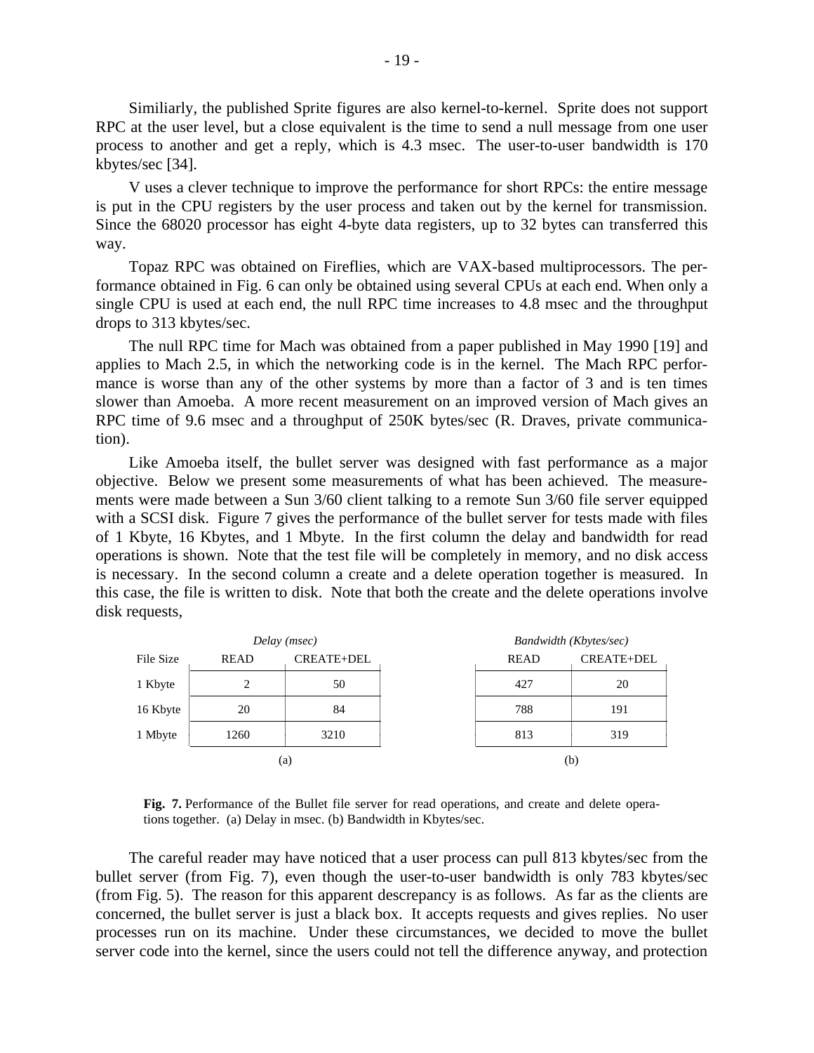Similiarly, the published Sprite figures are also kernel-to-kernel. Sprite does not support RPC at the user level, but a close equivalent is the time to send a null message from one user process to another and get a reply, which is 4.3 msec. The user-to-user bandwidth is 170 kbytes/sec [34].

V uses a clever technique to improve the performance for short RPCs: the entire message is put in the CPU registers by the user process and taken out by the kernel for transmission. Since the 68020 processor has eight 4-byte data registers, up to 32 bytes can transferred this way.

Topaz RPC was obtained on Fireflies, which are VAX-based multiprocessors. The performance obtained in Fig. 6 can only be obtained using several CPUs at each end. When only a single CPU is used at each end, the null RPC time increases to 4.8 msec and the throughput drops to 313 kbytes/sec.

The null RPC time for Mach was obtained from a paper published in May 1990 [19] and applies to Mach 2.5, in which the networking code is in the kernel. The Mach RPC performance is worse than any of the other systems by more than a factor of 3 and is ten times slower than Amoeba. A more recent measurement on an improved version of Mach gives an RPC time of 9.6 msec and a throughput of 250K bytes/sec (R. Draves, private communication).

Like Amoeba itself, the bullet server was designed with fast performance as a major objective. Below we present some measurements of what has been achieved. The measurements were made between a Sun 3/60 client talking to a remote Sun 3/60 file server equipped with a SCSI disk. Figure 7 gives the performance of the bullet server for tests made with files of 1 Kbyte, 16 Kbytes, and 1 Mbyte. In the first column the delay and bandwidth for read operations is shown. Note that the test file will be completely in memory, and no disk access is necessary. In the second column a create and a delete operation together is measured. In this case, the file is written to disk. Note that both the create and the delete operations involve disk requests,

| Delay (msec) |                | Bandwidth (Kbytes/sec) |  |             |                   |
|--------------|----------------|------------------------|--|-------------|-------------------|
| File Size    | <b>READ</b>    | <b>CREATE+DEL</b>      |  | <b>READ</b> | <b>CREATE+DEL</b> |
| 1 Kbyte      | $\overline{2}$ | 50                     |  | 427         | 20                |
| 16 Kbyte     | 20             | 84                     |  | 788         | 191               |
| 1 Mbyte      | 1260           | 3210                   |  | 813         | 319               |
| (a)          |                |                        |  | (b)         |                   |

**Fig. 7.** Performance of the Bullet file server for read operations, and create and delete operations together. (a) Delay in msec. (b) Bandwidth in Kbytes/sec.

The careful reader may have noticed that a user process can pull 813 kbytes/sec from the bullet server (from Fig. 7), even though the user-to-user bandwidth is only 783 kbytes/sec (from Fig. 5). The reason for this apparent descrepancy is as follows. As far as the clients are concerned, the bullet server is just a black box. It accepts requests and gives replies. No user processes run on its machine. Under these circumstances, we decided to move the bullet server code into the kernel, since the users could not tell the difference anyway, and protection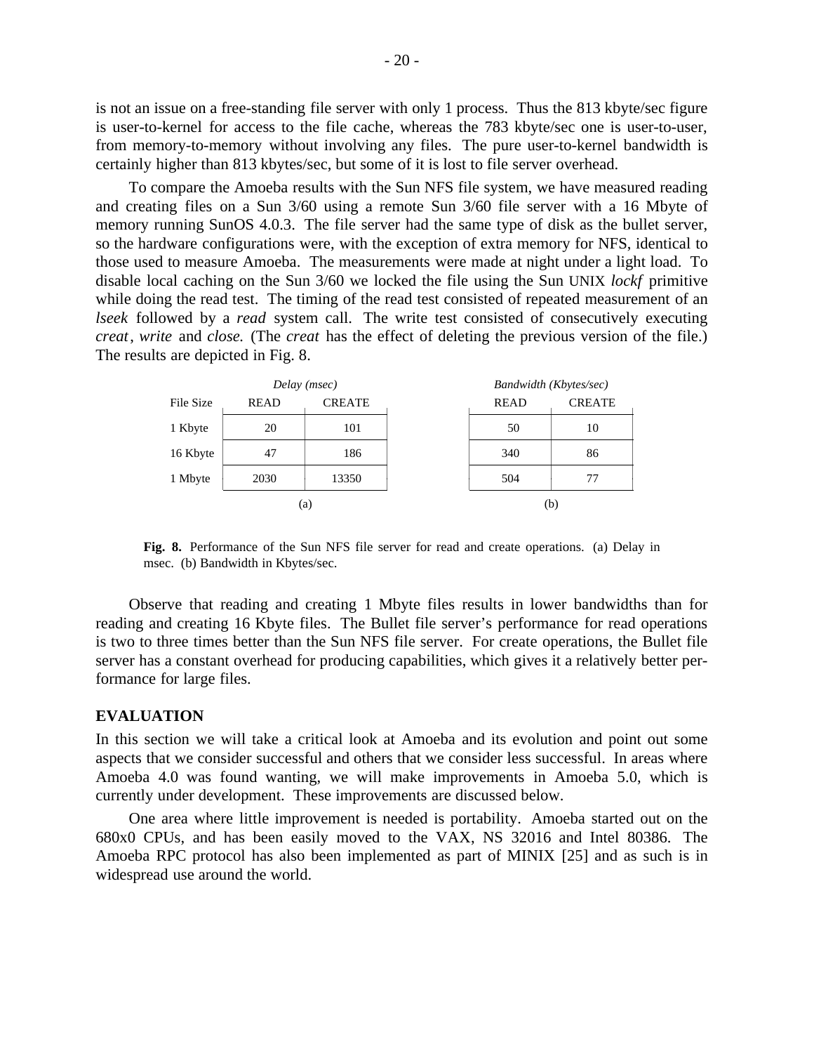is not an issue on a free-standing file server with only 1 process. Thus the 813 kbyte/sec figure is user-to-kernel for access to the file cache, whereas the 783 kbyte/sec one is user-to-user, from memory-to-memory without involving any files. The pure user-to-kernel bandwidth is certainly higher than 813 kbytes/sec, but some of it is lost to file server overhead.

To compare the Amoeba results with the Sun NFS file system, we have measured reading and creating files on a Sun 3/60 using a remote Sun 3/60 file server with a 16 Mbyte of memory running SunOS 4.0.3. The file server had the same type of disk as the bullet server, so the hardware configurations were, with the exception of extra memory for NFS, identical to those used to measure Amoeba. The measurements were made at night under a light load. To disable local caching on the Sun 3/60 we locked the file using the Sun UNIX *lockf* primitive while doing the read test. The timing of the read test consisted of repeated measurement of an *lseek* followed by a *read* system call. The write test consisted of consecutively executing *creat*, *write* and *close.* (The *creat* has the effect of deleting the previous version of the file.) The results are depicted in Fig. 8.

| Delay (msec) |             |               | Bandwidth (Kbytes/sec) |      |               |
|--------------|-------------|---------------|------------------------|------|---------------|
| File Size    | <b>READ</b> | <b>CREATE</b> |                        | READ | <b>CREATE</b> |
| 1 Kbyte      | 20          | 101           |                        | 50   | 10            |
| 16 Kbyte     | 47          | 186           |                        | 340  | 86            |
| 1 Mbyte      | 2030        | 13350         |                        | 504  | 77            |
| (a)          |             |               | (b)                    |      |               |

**Fig. 8.** Performance of the Sun NFS file server for read and create operations. (a) Delay in msec. (b) Bandwidth in Kbytes/sec.

Observe that reading and creating 1 Mbyte files results in lower bandwidths than for reading and creating 16 Kbyte files. The Bullet file server's performance for read operations is two to three times better than the Sun NFS file server. For create operations, the Bullet file server has a constant overhead for producing capabilities, which gives it a relatively better performance for large files.

## **EVALUATION**

In this section we will take a critical look at Amoeba and its evolution and point out some aspects that we consider successful and others that we consider less successful. In areas where Amoeba 4.0 was found wanting, we will make improvements in Amoeba 5.0, which is currently under development. These improvements are discussed below.

One area where little improvement is needed is portability. Amoeba started out on the 680x0 CPUs, and has been easily moved to the VAX, NS 32016 and Intel 80386. The Amoeba RPC protocol has also been implemented as part of MINIX [25] and as such is in widespread use around the world.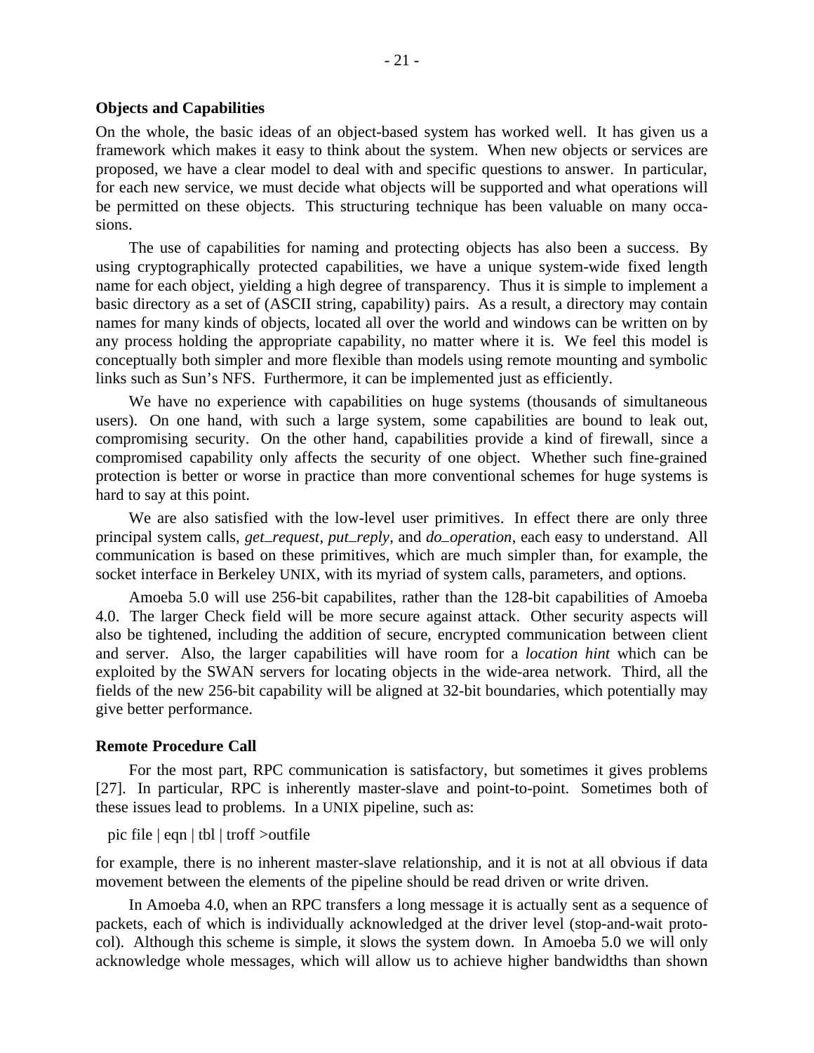## **Objects and Capabilities**

On the whole, the basic ideas of an object-based system has worked well. It has given us a framework which makes it easy to think about the system. When new objects or services are proposed, we have a clear model to deal with and specific questions to answer. In particular, for each new service, we must decide what objects will be supported and what operations will be permitted on these objects. This structuring technique has been valuable on many occasions.

The use of capabilities for naming and protecting objects has also been a success. By using cryptographically protected capabilities, we have a unique system-wide fixed length name for each object, yielding a high degree of transparency. Thus it is simple to implement a basic directory as a set of (ASCII string, capability) pairs. As a result, a directory may contain names for many kinds of objects, located all over the world and windows can be written on by any process holding the appropriate capability, no matter where it is. We feel this model is conceptually both simpler and more flexible than models using remote mounting and symbolic links such as Sun's NFS. Furthermore, it can be implemented just as efficiently.

We have no experience with capabilities on huge systems (thousands of simultaneous users). On one hand, with such a large system, some capabilities are bound to leak out, compromising security. On the other hand, capabilities provide a kind of firewall, since a compromised capability only affects the security of one object. Whether such fine-grained protection is better or worse in practice than more conventional schemes for huge systems is hard to say at this point.

We are also satisfied with the low-level user primitives. In effect there are only three principal system calls, *get\_request*, *put\_reply*, and *do\_operation*, each easy to understand. All communication is based on these primitives, which are much simpler than, for example, the socket interface in Berkeley UNIX, with its myriad of system calls, parameters, and options.

Amoeba 5.0 will use 256-bit capabilites, rather than the 128-bit capabilities of Amoeba 4.0. The larger Check field will be more secure against attack. Other security aspects will also be tightened, including the addition of secure, encrypted communication between client and server. Also, the larger capabilities will have room for a *location hint* which can be exploited by the SWAN servers for locating objects in the wide-area network. Third, all the fields of the new 256-bit capability will be aligned at 32-bit boundaries, which potentially may give better performance.

#### **Remote Procedure Call**

For the most part, RPC communication is satisfactory, but sometimes it gives problems [27]. In particular, RPC is inherently master-slave and point-to-point. Sometimes both of these issues lead to problems. In a UNIX pipeline, such as:

## pic file | eqn | tbl | troff >outfile

for example, there is no inherent master-slave relationship, and it is not at all obvious if data movement between the elements of the pipeline should be read driven or write driven.

In Amoeba 4.0, when an RPC transfers a long message it is actually sent as a sequence of packets, each of which is individually acknowledged at the driver level (stop-and-wait protocol). Although this scheme is simple, it slows the system down. In Amoeba 5.0 we will only acknowledge whole messages, which will allow us to achieve higher bandwidths than shown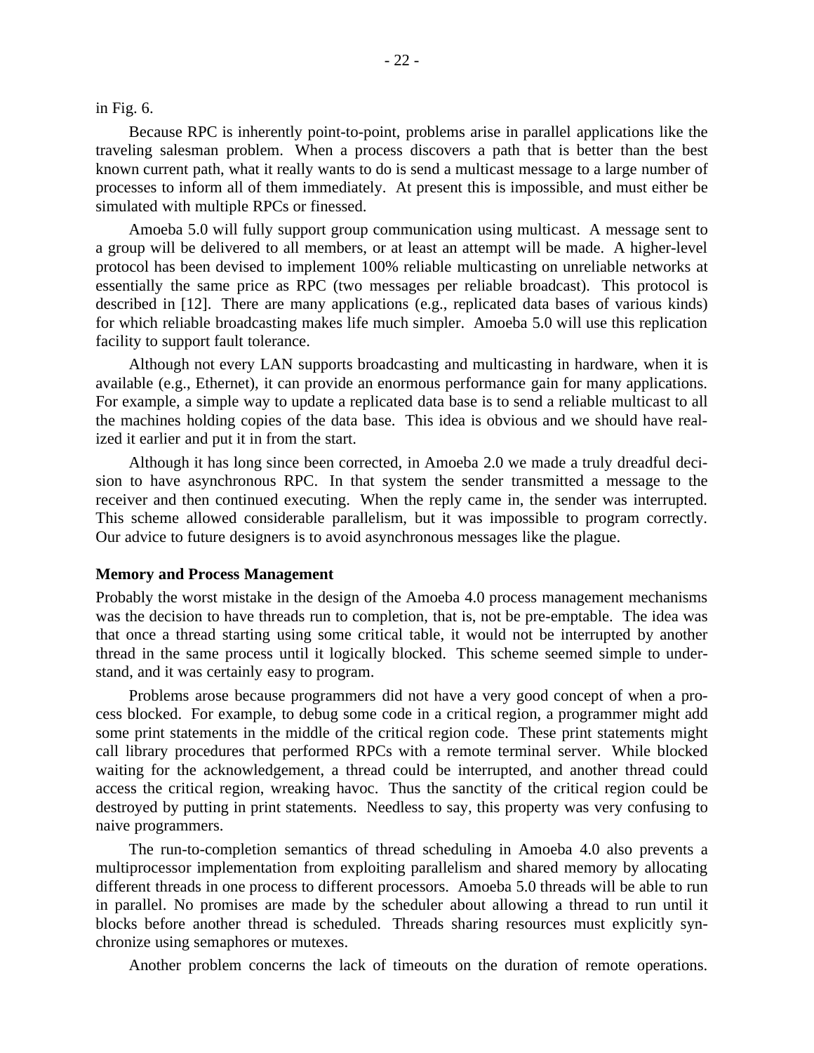in Fig. 6.

Because RPC is inherently point-to-point, problems arise in parallel applications like the traveling salesman problem. When a process discovers a path that is better than the best known current path, what it really wants to do is send a multicast message to a large number of processes to inform all of them immediately. At present this is impossible, and must either be simulated with multiple RPCs or finessed.

Amoeba 5.0 will fully support group communication using multicast. A message sent to a group will be delivered to all members, or at least an attempt will be made. A higher-level protocol has been devised to implement 100% reliable multicasting on unreliable networks at essentially the same price as RPC (two messages per reliable broadcast). This protocol is described in [12]. There are many applications (e.g., replicated data bases of various kinds) for which reliable broadcasting makes life much simpler. Amoeba 5.0 will use this replication facility to support fault tolerance.

Although not every LAN supports broadcasting and multicasting in hardware, when it is available (e.g., Ethernet), it can provide an enormous performance gain for many applications. For example, a simple way to update a replicated data base is to send a reliable multicast to all the machines holding copies of the data base. This idea is obvious and we should have realized it earlier and put it in from the start.

Although it has long since been corrected, in Amoeba 2.0 we made a truly dreadful decision to have asynchronous RPC. In that system the sender transmitted a message to the receiver and then continued executing. When the reply came in, the sender was interrupted. This scheme allowed considerable parallelism, but it was impossible to program correctly. Our advice to future designers is to avoid asynchronous messages like the plague.

## **Memory and Process Management**

Probably the worst mistake in the design of the Amoeba 4.0 process management mechanisms was the decision to have threads run to completion, that is, not be pre-emptable. The idea was that once a thread starting using some critical table, it would not be interrupted by another thread in the same process until it logically blocked. This scheme seemed simple to understand, and it was certainly easy to program.

Problems arose because programmers did not have a very good concept of when a process blocked. For example, to debug some code in a critical region, a programmer might add some print statements in the middle of the critical region code. These print statements might call library procedures that performed RPCs with a remote terminal server. While blocked waiting for the acknowledgement, a thread could be interrupted, and another thread could access the critical region, wreaking havoc. Thus the sanctity of the critical region could be destroyed by putting in print statements. Needless to say, this property was very confusing to naive programmers.

The run-to-completion semantics of thread scheduling in Amoeba 4.0 also prevents a multiprocessor implementation from exploiting parallelism and shared memory by allocating different threads in one process to different processors. Amoeba 5.0 threads will be able to run in parallel. No promises are made by the scheduler about allowing a thread to run until it blocks before another thread is scheduled. Threads sharing resources must explicitly synchronize using semaphores or mutexes.

Another problem concerns the lack of timeouts on the duration of remote operations.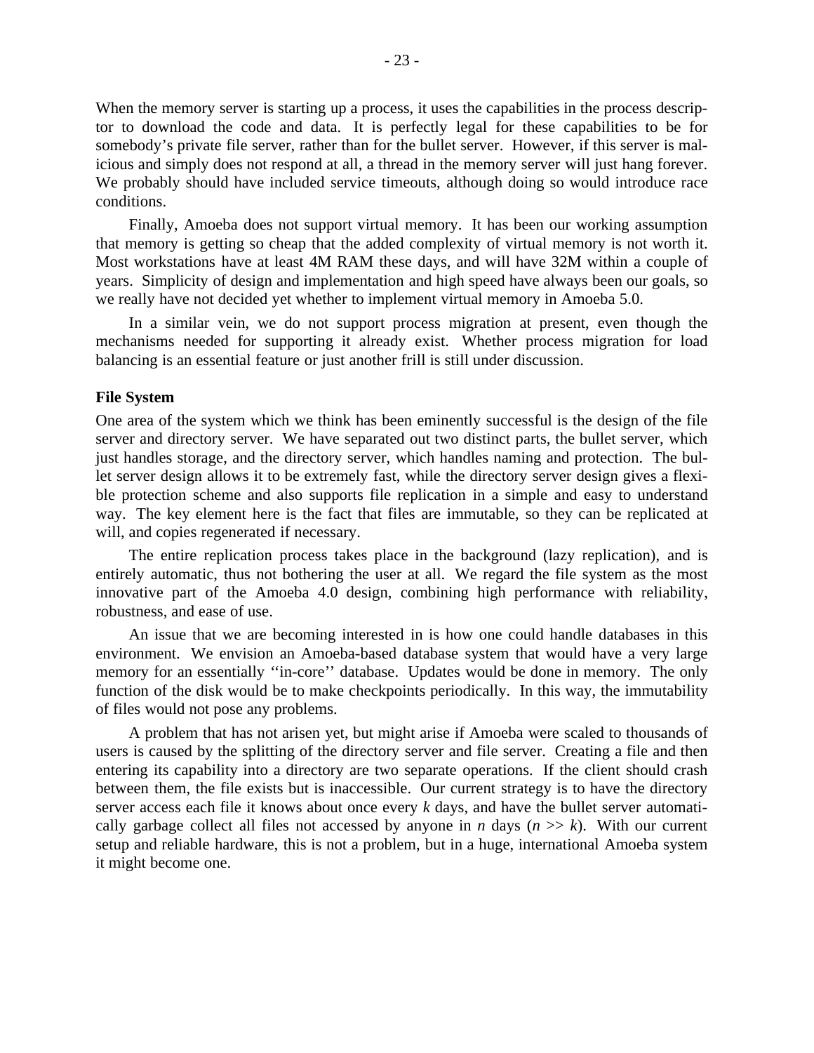When the memory server is starting up a process, it uses the capabilities in the process descriptor to download the code and data. It is perfectly legal for these capabilities to be for somebody's private file server, rather than for the bullet server. However, if this server is malicious and simply does not respond at all, a thread in the memory server will just hang forever. We probably should have included service timeouts, although doing so would introduce race conditions.

Finally, Amoeba does not support virtual memory. It has been our working assumption that memory is getting so cheap that the added complexity of virtual memory is not worth it. Most workstations have at least 4M RAM these days, and will have 32M within a couple of years. Simplicity of design and implementation and high speed have always been our goals, so we really have not decided yet whether to implement virtual memory in Amoeba 5.0.

In a similar vein, we do not support process migration at present, even though the mechanisms needed for supporting it already exist. Whether process migration for load balancing is an essential feature or just another frill is still under discussion.

#### **File System**

One area of the system which we think has been eminently successful is the design of the file server and directory server. We have separated out two distinct parts, the bullet server, which just handles storage, and the directory server, which handles naming and protection. The bullet server design allows it to be extremely fast, while the directory server design gives a flexible protection scheme and also supports file replication in a simple and easy to understand way. The key element here is the fact that files are immutable, so they can be replicated at will, and copies regenerated if necessary.

The entire replication process takes place in the background (lazy replication), and is entirely automatic, thus not bothering the user at all. We regard the file system as the most innovative part of the Amoeba 4.0 design, combining high performance with reliability, robustness, and ease of use.

An issue that we are becoming interested in is how one could handle databases in this environment. We envision an Amoeba-based database system that would have a very large memory for an essentially ''in-core'' database. Updates would be done in memory. The only function of the disk would be to make checkpoints periodically. In this way, the immutability of files would not pose any problems.

A problem that has not arisen yet, but might arise if Amoeba were scaled to thousands of users is caused by the splitting of the directory server and file server. Creating a file and then entering its capability into a directory are two separate operations. If the client should crash between them, the file exists but is inaccessible. Our current strategy is to have the directory server access each file it knows about once every *k* days, and have the bullet server automatically garbage collect all files not accessed by anyone in *n* days  $(n \gg k)$ . With our current setup and reliable hardware, this is not a problem, but in a huge, international Amoeba system it might become one.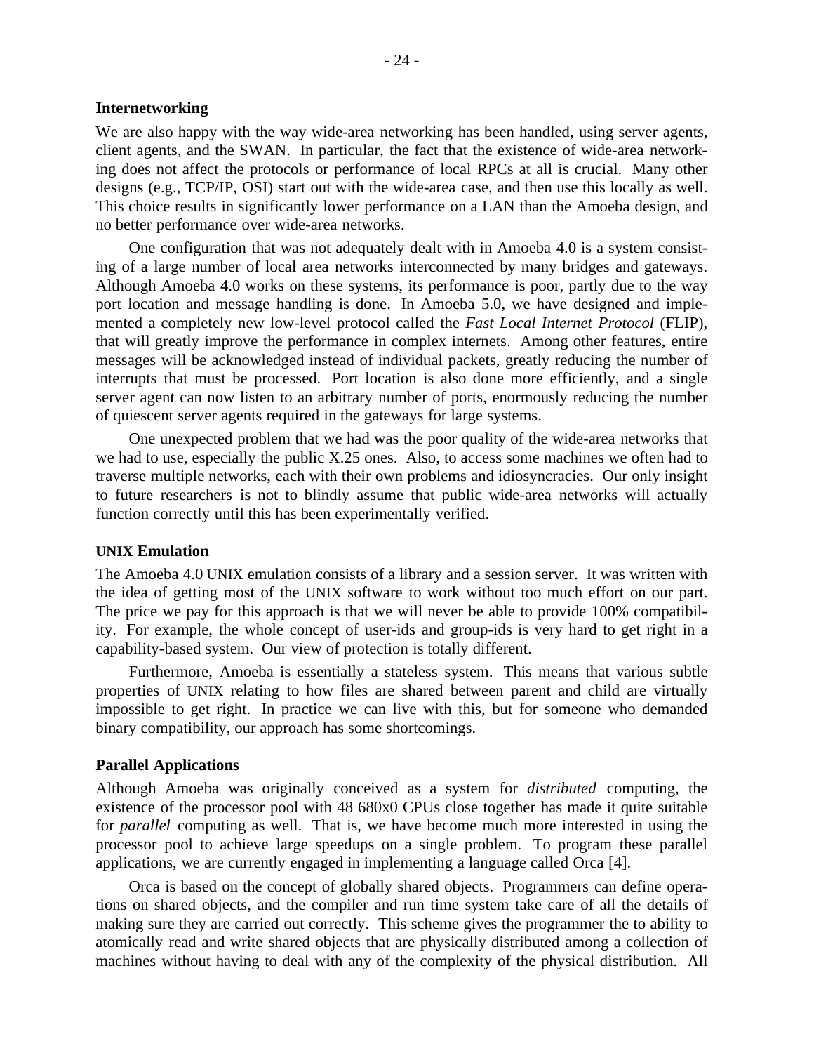## **Internetworking**

We are also happy with the way wide-area networking has been handled, using server agents, client agents, and the SWAN. In particular, the fact that the existence of wide-area networking does not affect the protocols or performance of local RPCs at all is crucial. Many other designs (e.g., TCP/IP, OSI) start out with the wide-area case, and then use this locally as well. This choice results in significantly lower performance on a LAN than the Amoeba design, and no better performance over wide-area networks.

One configuration that was not adequately dealt with in Amoeba 4.0 is a system consisting of a large number of local area networks interconnected by many bridges and gateways. Although Amoeba 4.0 works on these systems, its performance is poor, partly due to the way port location and message handling is done. In Amoeba 5.0, we have designed and implemented a completely new low-level protocol called the *Fast Local Internet Protocol* (FLIP), that will greatly improve the performance in complex internets. Among other features, entire messages will be acknowledged instead of individual packets, greatly reducing the number of interrupts that must be processed. Port location is also done more efficiently, and a single server agent can now listen to an arbitrary number of ports, enormously reducing the number of quiescent server agents required in the gateways for large systems.

One unexpected problem that we had was the poor quality of the wide-area networks that we had to use, especially the public X.25 ones. Also, to access some machines we often had to traverse multiple networks, each with their own problems and idiosyncracies. Our only insight to future researchers is not to blindly assume that public wide-area networks will actually function correctly until this has been experimentally verified.

## **UNIX Emulation**

The Amoeba 4.0 UNIX emulation consists of a library and a session server. It was written with the idea of getting most of the UNIX software to work without too much effort on our part. The price we pay for this approach is that we will never be able to provide 100% compatibility. For example, the whole concept of user-ids and group-ids is very hard to get right in a capability-based system. Our view of protection is totally different.

Furthermore, Amoeba is essentially a stateless system. This means that various subtle properties of UNIX relating to how files are shared between parent and child are virtually impossible to get right. In practice we can live with this, but for someone who demanded binary compatibility, our approach has some shortcomings.

#### **Parallel Applications**

Although Amoeba was originally conceived as a system for *distributed* computing, the existence of the processor pool with 48 680x0 CPUs close together has made it quite suitable for *parallel* computing as well. That is, we have become much more interested in using the processor pool to achieve large speedups on a single problem. To program these parallel applications, we are currently engaged in implementing a language called Orca [4].

Orca is based on the concept of globally shared objects. Programmers can define operations on shared objects, and the compiler and run time system take care of all the details of making sure they are carried out correctly. This scheme gives the programmer the to ability to atomically read and write shared objects that are physically distributed among a collection of machines without having to deal with any of the complexity of the physical distribution. All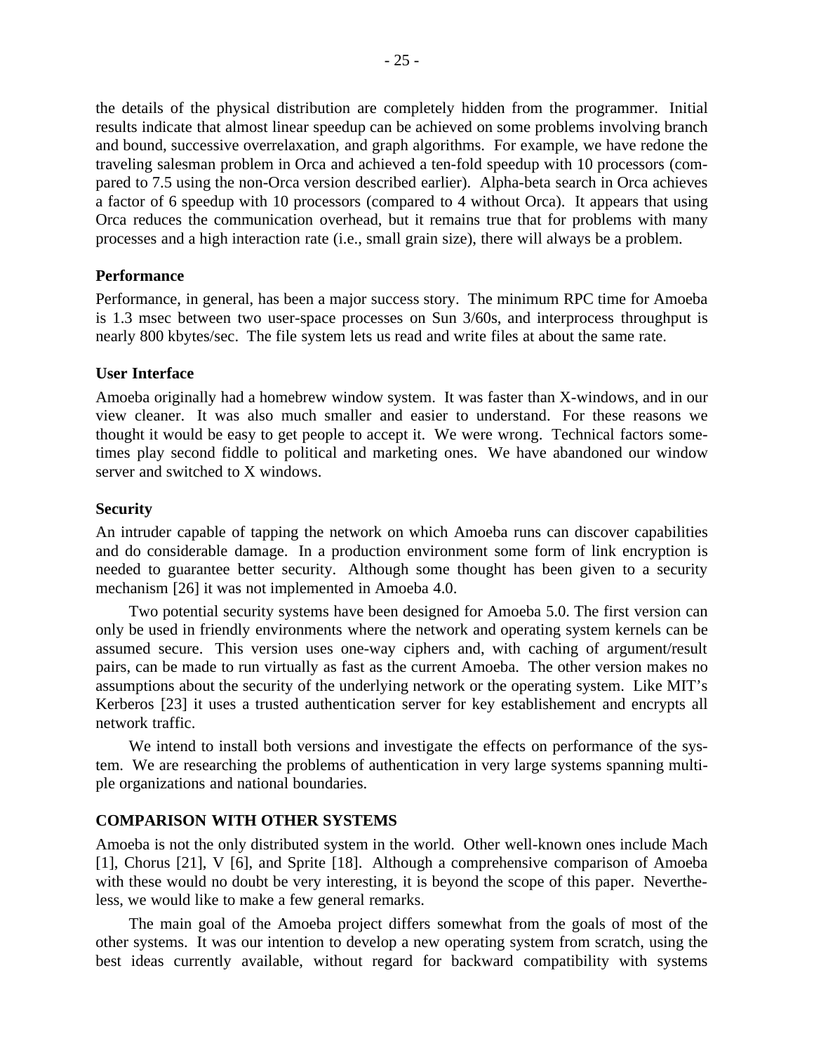the details of the physical distribution are completely hidden from the programmer. Initial results indicate that almost linear speedup can be achieved on some problems involving branch and bound, successive overrelaxation, and graph algorithms. For example, we have redone the traveling salesman problem in Orca and achieved a ten-fold speedup with 10 processors (compared to 7.5 using the non-Orca version described earlier). Alpha-beta search in Orca achieves a factor of 6 speedup with 10 processors (compared to 4 without Orca). It appears that using Orca reduces the communication overhead, but it remains true that for problems with many processes and a high interaction rate (i.e., small grain size), there will always be a problem.

## **Performance**

Performance, in general, has been a major success story. The minimum RPC time for Amoeba is 1.3 msec between two user-space processes on Sun 3/60s, and interprocess throughput is nearly 800 kbytes/sec. The file system lets us read and write files at about the same rate.

## **User Interface**

Amoeba originally had a homebrew window system. It was faster than X-windows, and in our view cleaner. It was also much smaller and easier to understand. For these reasons we thought it would be easy to get people to accept it. We were wrong. Technical factors sometimes play second fiddle to political and marketing ones. We have abandoned our window server and switched to X windows.

## **Security**

An intruder capable of tapping the network on which Amoeba runs can discover capabilities and do considerable damage. In a production environment some form of link encryption is needed to guarantee better security. Although some thought has been given to a security mechanism [26] it was not implemented in Amoeba 4.0.

Two potential security systems have been designed for Amoeba 5.0. The first version can only be used in friendly environments where the network and operating system kernels can be assumed secure. This version uses one-way ciphers and, with caching of argument/result pairs, can be made to run virtually as fast as the current Amoeba. The other version makes no assumptions about the security of the underlying network or the operating system. Like MIT's Kerberos [23] it uses a trusted authentication server for key establishement and encrypts all network traffic.

We intend to install both versions and investigate the effects on performance of the system. We are researching the problems of authentication in very large systems spanning multiple organizations and national boundaries.

## **COMPARISON WITH OTHER SYSTEMS**

Amoeba is not the only distributed system in the world. Other well-known ones include Mach [1], Chorus [21], V [6], and Sprite [18]. Although a comprehensive comparison of Amoeba with these would no doubt be very interesting, it is beyond the scope of this paper. Nevertheless, we would like to make a few general remarks.

The main goal of the Amoeba project differs somewhat from the goals of most of the other systems. It was our intention to develop a new operating system from scratch, using the best ideas currently available, without regard for backward compatibility with systems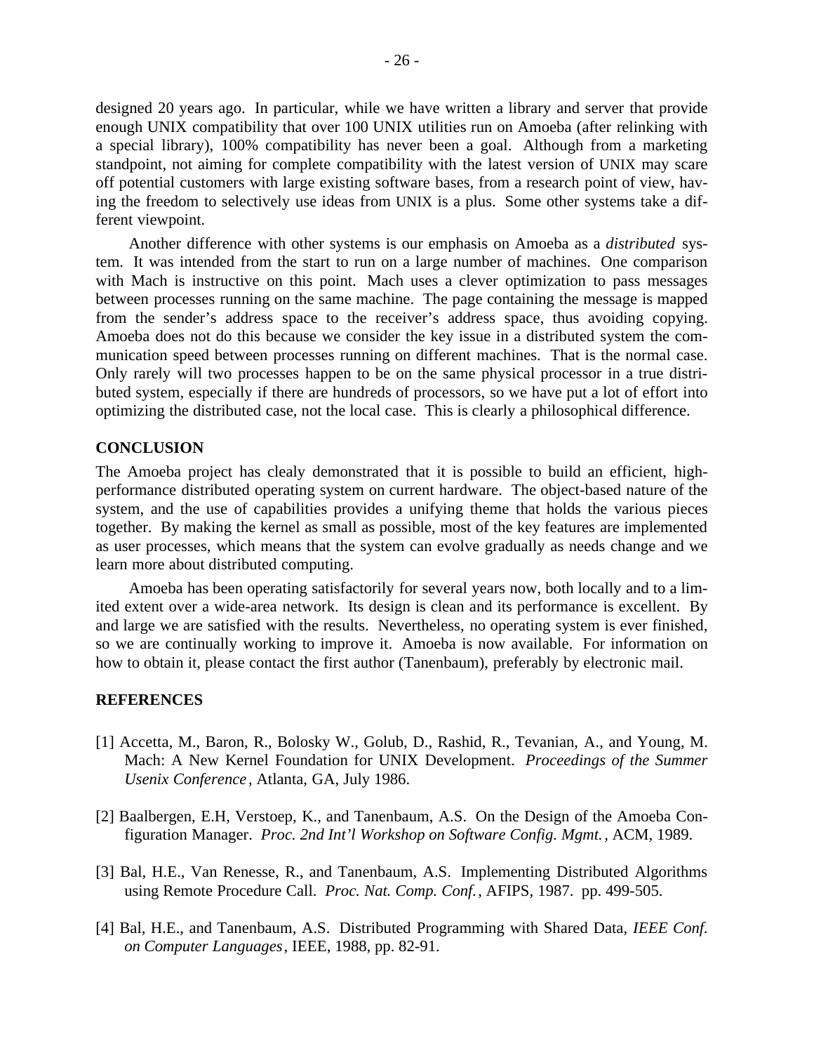designed 20 years ago. In particular, while we have written a library and server that provide enough UNIX compatibility that over 100 UNIX utilities run on Amoeba (after relinking with a special library), 100% compatibility has never been a goal. Although from a marketing standpoint, not aiming for complete compatibility with the latest version of UNIX may scare off potential customers with large existing software bases, from a research point of view, having the freedom to selectively use ideas from UNIX is a plus. Some other systems take a different viewpoint.

Another difference with other systems is our emphasis on Amoeba as a *distributed* system. It was intended from the start to run on a large number of machines. One comparison with Mach is instructive on this point. Mach uses a clever optimization to pass messages between processes running on the same machine. The page containing the message is mapped from the sender's address space to the receiver's address space, thus avoiding copying. Amoeba does not do this because we consider the key issue in a distributed system the communication speed between processes running on different machines. That is the normal case. Only rarely will two processes happen to be on the same physical processor in a true distributed system, especially if there are hundreds of processors, so we have put a lot of effort into optimizing the distributed case, not the local case. This is clearly a philosophical difference.

## **CONCLUSION**

The Amoeba project has clealy demonstrated that it is possible to build an efficient, highperformance distributed operating system on current hardware. The object-based nature of the system, and the use of capabilities provides a unifying theme that holds the various pieces together. By making the kernel as small as possible, most of the key features are implemented as user processes, which means that the system can evolve gradually as needs change and we learn more about distributed computing.

Amoeba has been operating satisfactorily for several years now, both locally and to a limited extent over a wide-area network. Its design is clean and its performance is excellent. By and large we are satisfied with the results. Nevertheless, no operating system is ever finished, so we are continually working to improve it. Amoeba is now available. For information on how to obtain it, please contact the first author (Tanenbaum), preferably by electronic mail.

## **REFERENCES**

- [1] Accetta, M., Baron, R., Bolosky W., Golub, D., Rashid, R., Tevanian, A., and Young, M. Mach: A New Kernel Foundation for UNIX Development. *Proceedings of the Summer Usenix Conference* , Atlanta, GA, July 1986.
- [2] Baalbergen, E.H, Verstoep, K., and Tanenbaum, A.S. On the Design of the Amoeba Configuration Manager. *Proc. 2nd Int'l Workshop on Software Config. Mgmt.*, ACM, 1989.
- [3] Bal, H.E., Van Renesse, R., and Tanenbaum, A.S. Implementing Distributed Algorithms using Remote Procedure Call. *Proc. Nat. Comp. Conf.*, AFIPS, 1987. pp. 499-505.
- [4] Bal, H.E., and Tanenbaum, A.S. Distributed Programming with Shared Data, *IEEE Conf. on Computer Languages*, IEEE, 1988, pp. 82-91.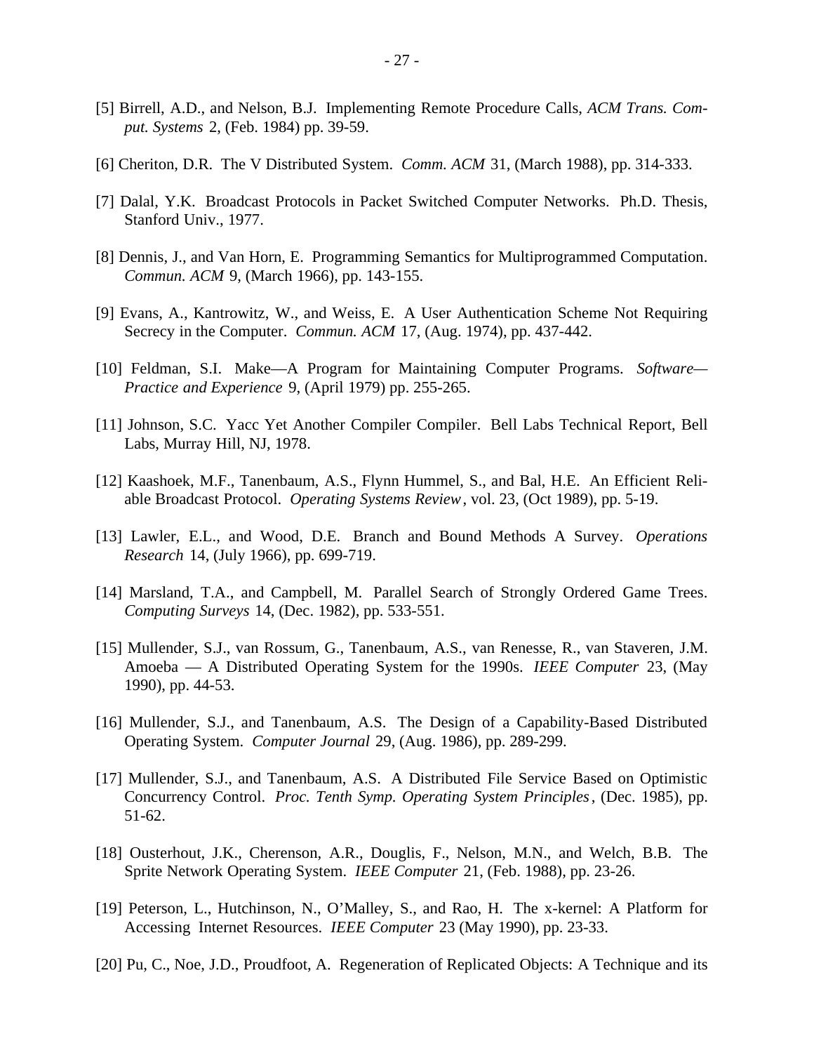- [5] Birrell, A.D., and Nelson, B.J. Implementing Remote Procedure Calls, *ACM Trans. Comput. Systems* 2, (Feb. 1984) pp. 39-59.
- [6] Cheriton, D.R. The V Distributed System. *Comm. ACM* 31, (March 1988), pp. 314-333.
- [7] Dalal, Y.K. Broadcast Protocols in Packet Switched Computer Networks. Ph.D. Thesis, Stanford Univ., 1977.
- [8] Dennis, J., and Van Horn, E. Programming Semantics for Multiprogrammed Computation. *Commun. ACM* 9, (March 1966), pp. 143-155.
- [9] Evans, A., Kantrowitz, W., and Weiss, E. A User Authentication Scheme Not Requiring Secrecy in the Computer. *Commun. ACM* 17, (Aug. 1974), pp. 437-442.
- [10] Feldman, S.I. Make—A Program for Maintaining Computer Programs. *Software— Practice and Experience* 9, (April 1979) pp. 255-265.
- [11] Johnson, S.C. Yacc Yet Another Compiler Compiler. Bell Labs Technical Report, Bell Labs, Murray Hill, NJ, 1978.
- [12] Kaashoek, M.F., Tanenbaum, A.S., Flynn Hummel, S., and Bal, H.E. An Efficient Reliable Broadcast Protocol. *Operating Systems Review*, vol. 23, (Oct 1989), pp. 5-19.
- [13] Lawler, E.L., and Wood, D.E. Branch and Bound Methods A Survey. *Operations Research* 14, (July 1966), pp. 699-719.
- [14] Marsland, T.A., and Campbell, M. Parallel Search of Strongly Ordered Game Trees. *Computing Surveys* 14, (Dec. 1982), pp. 533-551.
- [15] Mullender, S.J., van Rossum, G., Tanenbaum, A.S., van Renesse, R., van Staveren, J.M. Amoeba — A Distributed Operating System for the 1990s. *IEEE Computer* 23, (May 1990), pp. 44-53.
- [16] Mullender, S.J., and Tanenbaum, A.S. The Design of a Capability-Based Distributed Operating System. *Computer Journal* 29, (Aug. 1986), pp. 289-299.
- [17] Mullender, S.J., and Tanenbaum, A.S. A Distributed File Service Based on Optimistic Concurrency Control. *Proc. Tenth Symp. Operating System Principles*, (Dec. 1985), pp. 51-62.
- [18] Ousterhout, J.K., Cherenson, A.R., Douglis, F., Nelson, M.N., and Welch, B.B. The Sprite Network Operating System. *IEEE Computer* 21, (Feb. 1988), pp. 23-26.
- [19] Peterson, L., Hutchinson, N., O'Malley, S., and Rao, H. The x-kernel: A Platform for Accessing Internet Resources. *IEEE Computer* 23 (May 1990), pp. 23-33.
- [20] Pu, C., Noe, J.D., Proudfoot, A. Regeneration of Replicated Objects: A Technique and its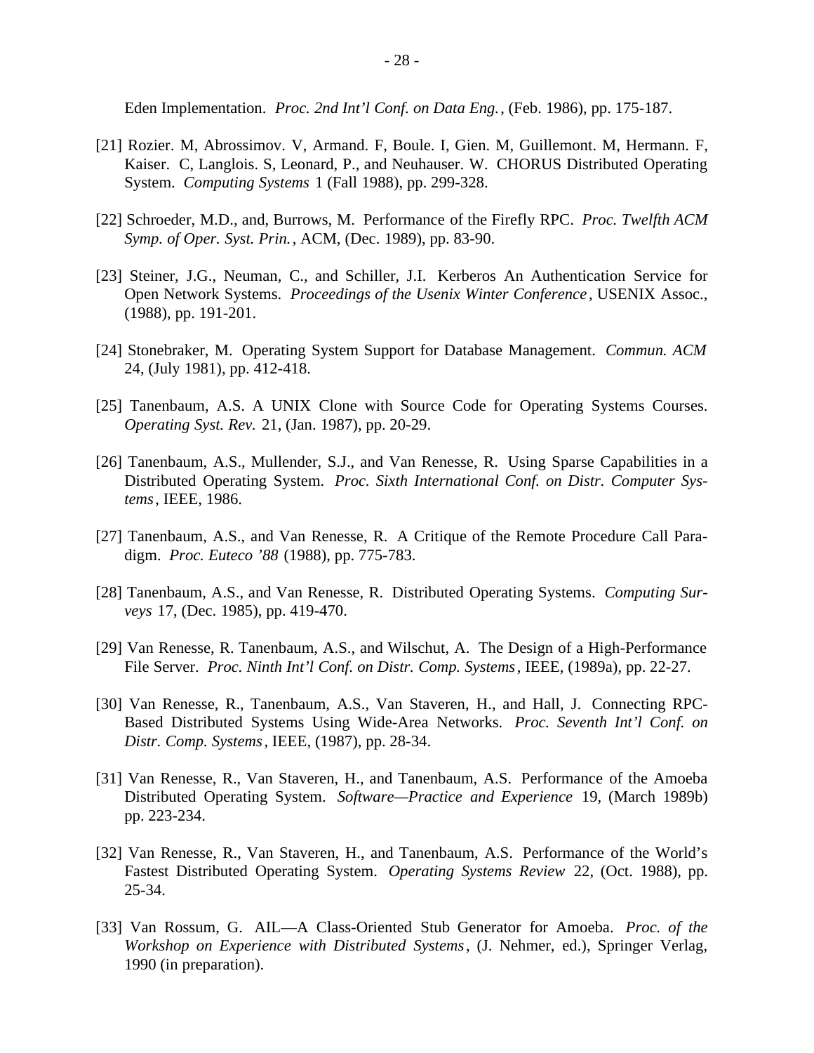Eden Implementation. *Proc. 2nd Int'l Conf. on Data Eng.*, (Feb. 1986), pp. 175-187.

- [21] Rozier. M, Abrossimov. V, Armand. F, Boule. I, Gien. M, Guillemont. M, Hermann. F, Kaiser. C, Langlois. S, Leonard, P., and Neuhauser. W. CHORUS Distributed Operating System. *Computing Systems* 1 (Fall 1988), pp. 299-328.
- [22] Schroeder, M.D., and, Burrows, M. Performance of the Firefly RPC. *Proc. Twelfth ACM Symp. of Oper. Syst. Prin.*, ACM, (Dec. 1989), pp. 83-90.
- [23] Steiner, J.G., Neuman, C., and Schiller, J.I. Kerberos An Authentication Service for Open Network Systems. *Proceedings of the Usenix Winter Conference* , USENIX Assoc., (1988), pp. 191-201.
- [24] Stonebraker, M. Operating System Support for Database Management. *Commun. ACM* 24, (July 1981), pp. 412-418.
- [25] Tanenbaum, A.S. A UNIX Clone with Source Code for Operating Systems Courses. *Operating Syst. Rev.* 21, (Jan. 1987), pp. 20-29.
- [26] Tanenbaum, A.S., Mullender, S.J., and Van Renesse, R. Using Sparse Capabilities in a Distributed Operating System. *Proc. Sixth International Conf. on Distr. Computer Systems*, IEEE, 1986.
- [27] Tanenbaum, A.S., and Van Renesse, R. A Critique of the Remote Procedure Call Paradigm. *Proc. Euteco '88* (1988), pp. 775-783.
- [28] Tanenbaum, A.S., and Van Renesse, R. Distributed Operating Systems. *Computing Surveys* 17, (Dec. 1985), pp. 419-470.
- [29] Van Renesse, R. Tanenbaum, A.S., and Wilschut, A. The Design of a High-Performance File Server. *Proc. Ninth Int'l Conf. on Distr. Comp. Systems*, IEEE, (1989a), pp. 22-27.
- [30] Van Renesse, R., Tanenbaum, A.S., Van Staveren, H., and Hall, J. Connecting RPC-Based Distributed Systems Using Wide-Area Networks. *Proc. Seventh Int'l Conf. on Distr. Comp. Systems*, IEEE, (1987), pp. 28-34.
- [31] Van Renesse, R., Van Staveren, H., and Tanenbaum, A.S. Performance of the Amoeba Distributed Operating System. *Software—Practice and Experience* 19, (March 1989b) pp. 223-234.
- [32] Van Renesse, R., Van Staveren, H., and Tanenbaum, A.S. Performance of the World's Fastest Distributed Operating System. *Operating Systems Review* 22, (Oct. 1988), pp. 25-34.
- [33] Van Rossum, G. AIL—A Class-Oriented Stub Generator for Amoeba. *Proc. of the Workshop on Experience with Distributed Systems*, (J. Nehmer, ed.), Springer Verlag, 1990 (in preparation).